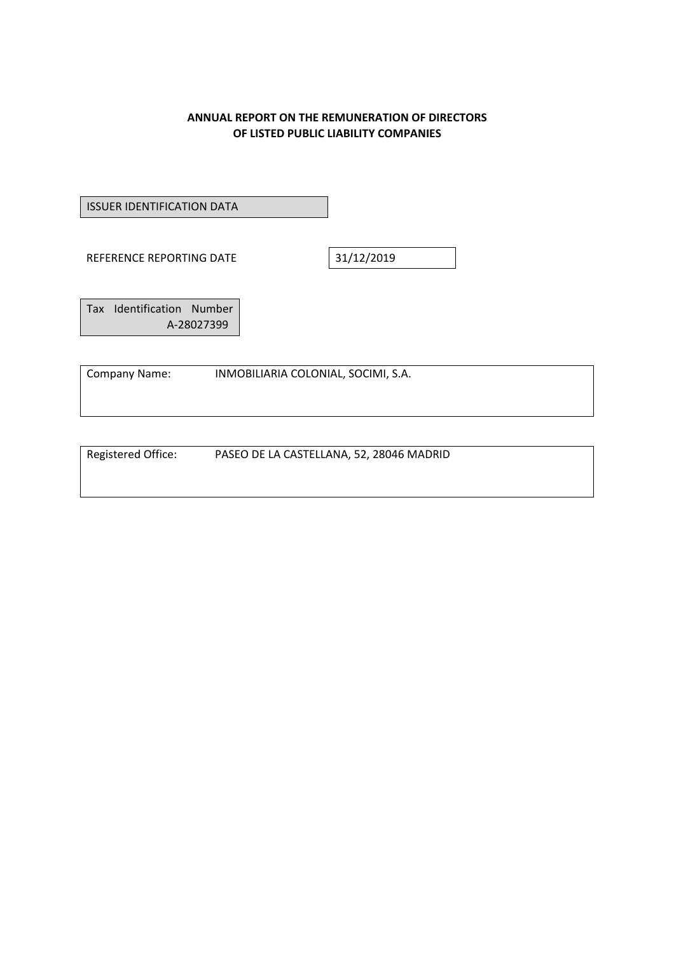#### **ANNUAL REPORT ON THE REMUNERATION OF DIRECTORS OF LISTED PUBLIC LIABILITY COMPANIES**

ISSUER IDENTIFICATION DATA

REFERENCE REPORTING DATE 31/12/2019

Tax Identification Number A‐28027399

Company Name: INMOBILIARIA COLONIAL, SOCIMI, S.A.

Registered Office: PASEO DE LA CASTELLANA, 52, 28046 MADRID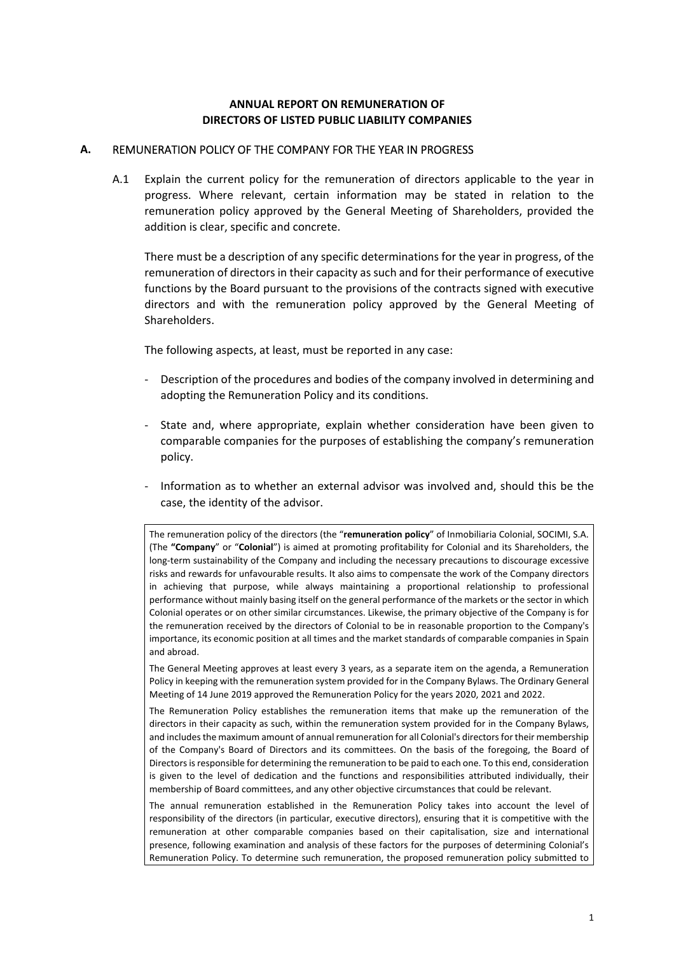#### **ANNUAL REPORT ON REMUNERATION OF DIRECTORS OF LISTED PUBLIC LIABILITY COMPANIES**

#### **A.** REMUNERATION POLICY OF THE COMPANY FOR THE YEAR IN PROGRESS

A.1 Explain the current policy for the remuneration of directors applicable to the year in progress. Where relevant, certain information may be stated in relation to the remuneration policy approved by the General Meeting of Shareholders, provided the addition is clear, specific and concrete.

There must be a description of any specific determinations for the year in progress, of the remuneration of directors in their capacity as such and for their performance of executive functions by the Board pursuant to the provisions of the contracts signed with executive directors and with the remuneration policy approved by the General Meeting of Shareholders.

The following aspects, at least, must be reported in any case:

- ‐ Description of the procedures and bodies of the company involved in determining and adopting the Remuneration Policy and its conditions.
- State and, where appropriate, explain whether consideration have been given to comparable companies for the purposes of establishing the company's remuneration policy.
- ‐ Information as to whether an external advisor was involved and, should this be the case, the identity of the advisor.

The remuneration policy of the directors (the "**remuneration policy**" of Inmobiliaria Colonial, SOCIMI, S.A. (The **"Company**" or "**Colonial**") is aimed at promoting profitability for Colonial and its Shareholders, the long-term sustainability of the Company and including the necessary precautions to discourage excessive risks and rewards for unfavourable results. It also aims to compensate the work of the Company directors in achieving that purpose, while always maintaining a proportional relationship to professional performance without mainly basing itself on the general performance of the markets or the sector in which Colonial operates or on other similar circumstances. Likewise, the primary objective of the Company is for the remuneration received by the directors of Colonial to be in reasonable proportion to the Company's importance, its economic position at all times and the market standards of comparable companies in Spain and abroad.

The General Meeting approves at least every 3 years, as a separate item on the agenda, a Remuneration Policy in keeping with the remuneration system provided for in the Company Bylaws. The Ordinary General Meeting of 14 June 2019 approved the Remuneration Policy for the years 2020, 2021 and 2022.

The Remuneration Policy establishes the remuneration items that make up the remuneration of the directors in their capacity as such, within the remuneration system provided for in the Company Bylaws, and includes the maximum amount of annual remuneration for all Colonial's directors for their membership of the Company's Board of Directors and its committees. On the basis of the foregoing, the Board of Directors is responsible for determining the remuneration to be paid to each one. To this end, consideration is given to the level of dedication and the functions and responsibilities attributed individually, their membership of Board committees, and any other objective circumstances that could be relevant.

The annual remuneration established in the Remuneration Policy takes into account the level of responsibility of the directors (in particular, executive directors), ensuring that it is competitive with the remuneration at other comparable companies based on their capitalisation, size and international presence, following examination and analysis of these factors for the purposes of determining Colonial's Remuneration Policy. To determine such remuneration, the proposed remuneration policy submitted to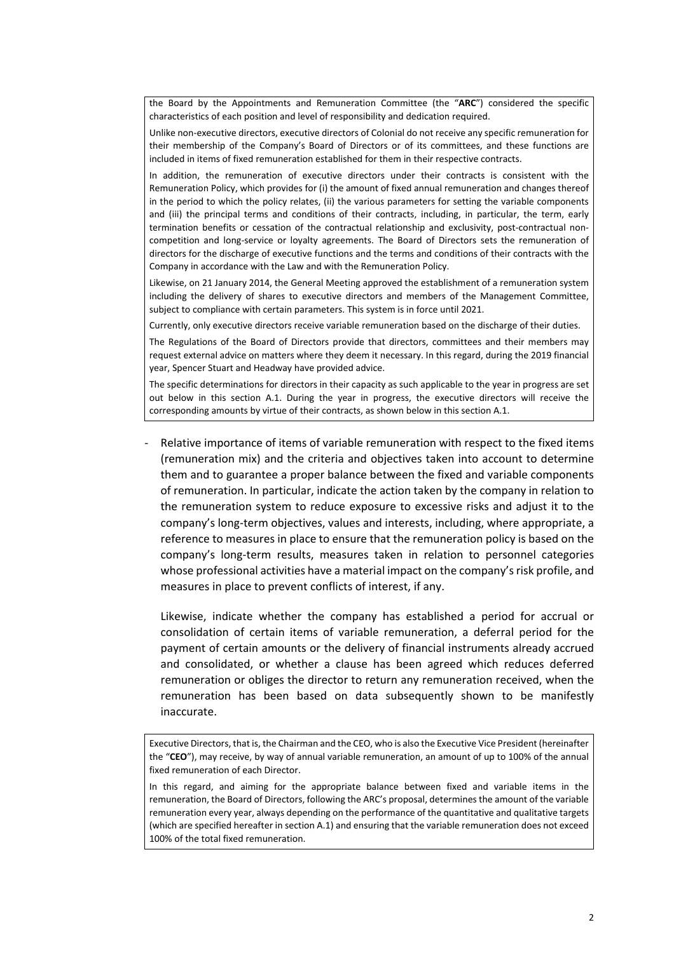the Board by the Appointments and Remuneration Committee (the "**ARC**") considered the specific characteristics of each position and level of responsibility and dedication required.

Unlike non‐executive directors, executive directors of Colonial do not receive any specific remuneration for their membership of the Company's Board of Directors or of its committees, and these functions are included in items of fixed remuneration established for them in their respective contracts.

In addition, the remuneration of executive directors under their contracts is consistent with the Remuneration Policy, which provides for (i) the amount of fixed annual remuneration and changes thereof in the period to which the policy relates, (ii) the various parameters for setting the variable components and (iii) the principal terms and conditions of their contracts, including, in particular, the term, early termination benefits or cessation of the contractual relationship and exclusivity, post-contractual noncompetition and long-service or loyalty agreements. The Board of Directors sets the remuneration of directors for the discharge of executive functions and the terms and conditions of their contracts with the Company in accordance with the Law and with the Remuneration Policy.

Likewise, on 21 January 2014, the General Meeting approved the establishment of a remuneration system including the delivery of shares to executive directors and members of the Management Committee, subject to compliance with certain parameters. This system is in force until 2021.

Currently, only executive directors receive variable remuneration based on the discharge of their duties.

The Regulations of the Board of Directors provide that directors, committees and their members may request external advice on matters where they deem it necessary. In this regard, during the 2019 financial year, Spencer Stuart and Headway have provided advice.

The specific determinations for directors in their capacity as such applicable to the year in progress are set out below in this section A.1. During the year in progress, the executive directors will receive the corresponding amounts by virtue of their contracts, as shown below in this section A.1.

Relative importance of items of variable remuneration with respect to the fixed items (remuneration mix) and the criteria and objectives taken into account to determine them and to guarantee a proper balance between the fixed and variable components of remuneration. In particular, indicate the action taken by the company in relation to the remuneration system to reduce exposure to excessive risks and adjust it to the company's long-term objectives, values and interests, including, where appropriate, a reference to measures in place to ensure that the remuneration policy is based on the company's long‐term results, measures taken in relation to personnel categories whose professional activities have a material impact on the company's risk profile, and measures in place to prevent conflicts of interest, if any.

Likewise, indicate whether the company has established a period for accrual or consolidation of certain items of variable remuneration, a deferral period for the payment of certain amounts or the delivery of financial instruments already accrued and consolidated, or whether a clause has been agreed which reduces deferred remuneration or obliges the director to return any remuneration received, when the remuneration has been based on data subsequently shown to be manifestly inaccurate.

In this regard, and aiming for the appropriate balance between fixed and variable items in the remuneration, the Board of Directors, following the ARC's proposal, determines the amount of the variable remuneration every year, always depending on the performance of the quantitative and qualitative targets (which are specified hereafter in section A.1) and ensuring that the variable remuneration does not exceed 100% of the total fixed remuneration.

Executive Directors, that is, the Chairman and the CEO, who is also the Executive Vice President (hereinafter the "**CEO**"), may receive, by way of annual variable remuneration, an amount of up to 100% of the annual fixed remuneration of each Director.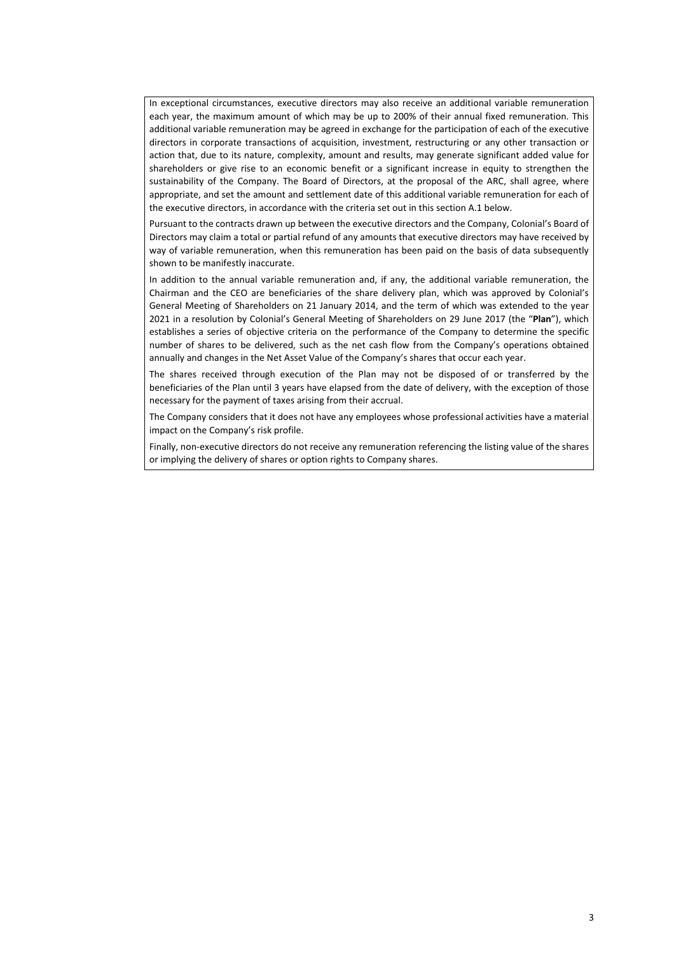In exceptional circumstances, executive directors may also receive an additional variable remuneration each year, the maximum amount of which may be up to 200% of their annual fixed remuneration. This additional variable remuneration may be agreed in exchange for the participation of each of the executive directors in corporate transactions of acquisition, investment, restructuring or any other transaction or action that, due to its nature, complexity, amount and results, may generate significant added value for shareholders or give rise to an economic benefit or a significant increase in equity to strengthen the sustainability of the Company. The Board of Directors, at the proposal of the ARC, shall agree, where appropriate, and set the amount and settlement date of this additional variable remuneration for each of the executive directors, in accordance with the criteria set out in this section A.1 below.

Pursuant to the contracts drawn up between the executive directors and the Company, Colonial's Board of Directors may claim a total or partial refund of any amounts that executive directors may have received by way of variable remuneration, when this remuneration has been paid on the basis of data subsequently shown to be manifestly inaccurate.

In addition to the annual variable remuneration and, if any, the additional variable remuneration, the Chairman and the CEO are beneficiaries of the share delivery plan, which was approved by Colonial's General Meeting of Shareholders on 21 January 2014, and the term of which was extended to the year 2021 in a resolution by Colonial's General Meeting of Shareholders on 29 June 2017 (the "**Plan**"), which establishes a series of objective criteria on the performance of the Company to determine the specific number of shares to be delivered, such as the net cash flow from the Company's operations obtained annually and changes in the Net Asset Value of the Company's shares that occur each year.

The shares received through execution of the Plan may not be disposed of or transferred by the beneficiaries of the Plan until 3 years have elapsed from the date of delivery, with the exception of those necessary for the payment of taxes arising from their accrual.

The Company considers that it does not have any employees whose professional activities have a material impact on the Company's risk profile.

Finally, non-executive directors do not receive any remuneration referencing the listing value of the shares or implying the delivery of shares or option rights to Company shares.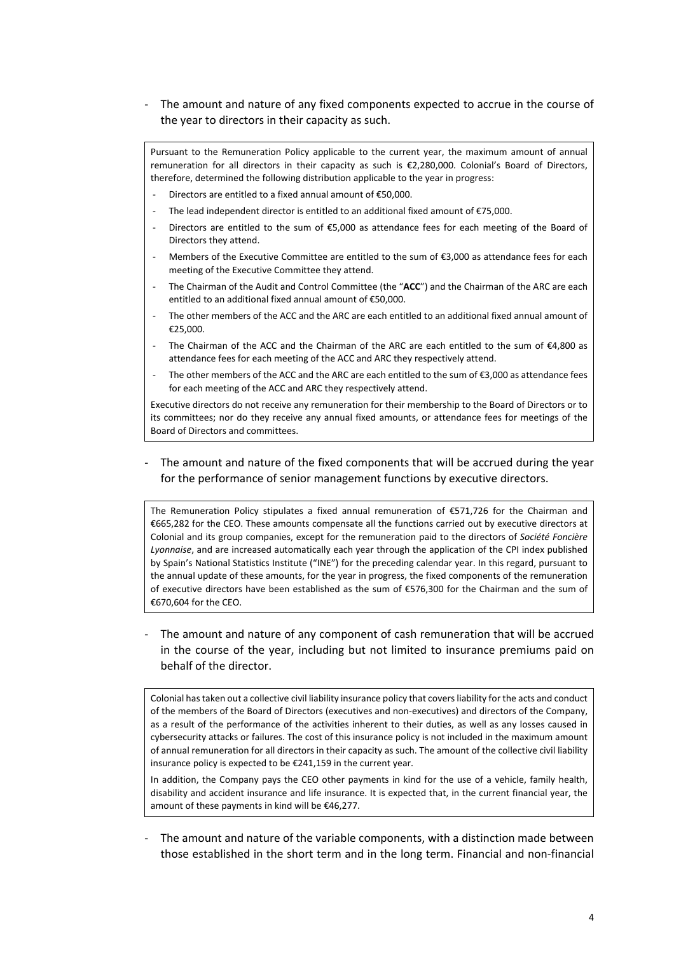The amount and nature of any fixed components expected to accrue in the course of the year to directors in their capacity as such.

Pursuant to the Remuneration Policy applicable to the current year, the maximum amount of annual remuneration for all directors in their capacity as such is €2,280,000. Colonial's Board of Directors, therefore, determined the following distribution applicable to the year in progress:

- Directors are entitled to a fixed annual amount of  $£50,000$ .
- The lead independent director is entitled to an additional fixed amount of  $E$ 75,000.
- Directors are entitled to the sum of  $$5,000$  as attendance fees for each meeting of the Board of Directors they attend.
- Members of the Executive Committee are entitled to the sum of €3,000 as attendance fees for each meeting of the Executive Committee they attend.
- ‐ The Chairman of the Audit and Control Committee (the "**ACC**") and the Chairman of the ARC are each entitled to an additional fixed annual amount of €50,000.
- ‐ The other members of the ACC and the ARC are each entitled to an additional fixed annual amount of €25,000.
- The Chairman of the ACC and the Chairman of the ARC are each entitled to the sum of  $\epsilon$ 4,800 as attendance fees for each meeting of the ACC and ARC they respectively attend.
- The other members of the ACC and the ARC are each entitled to the sum of €3,000 as attendance fees for each meeting of the ACC and ARC they respectively attend.

Executive directors do not receive any remuneration for their membership to the Board of Directors or to its committees; nor do they receive any annual fixed amounts, or attendance fees for meetings of the Board of Directors and committees.

The amount and nature of the fixed components that will be accrued during the year for the performance of senior management functions by executive directors.

The Remuneration Policy stipulates a fixed annual remuneration of €571,726 for the Chairman and €665,282 for the CEO. These amounts compensate all the functions carried out by executive directors at Colonial and its group companies, except for the remuneration paid to the directors of *Société Foncière Lyonnaise*, and are increased automatically each year through the application of the CPI index published by Spain's National Statistics Institute ("INE") for the preceding calendar year. In this regard, pursuant to the annual update of these amounts, for the year in progress, the fixed components of the remuneration of executive directors have been established as the sum of €576,300 for the Chairman and the sum of €670,604 for the CEO.

‐ The amount and nature of any component of cash remuneration that will be accrued in the course of the year, including but not limited to insurance premiums paid on behalf of the director.

Colonial has taken out a collective civil liability insurance policy that covers liability for the acts and conduct of the members of the Board of Directors (executives and non‐executives) and directors of the Company, as a result of the performance of the activities inherent to their duties, as well as any losses caused in cybersecurity attacks or failures. The cost of this insurance policy is not included in the maximum amount of annual remuneration for all directors in their capacity as such. The amount of the collective civil liability insurance policy is expected to be €241,159 in the current year.

In addition, the Company pays the CEO other payments in kind for the use of a vehicle, family health, disability and accident insurance and life insurance. It is expected that, in the current financial year, the amount of these payments in kind will be €46,277.

‐ The amount and nature of the variable components, with a distinction made between those established in the short term and in the long term. Financial and non‐financial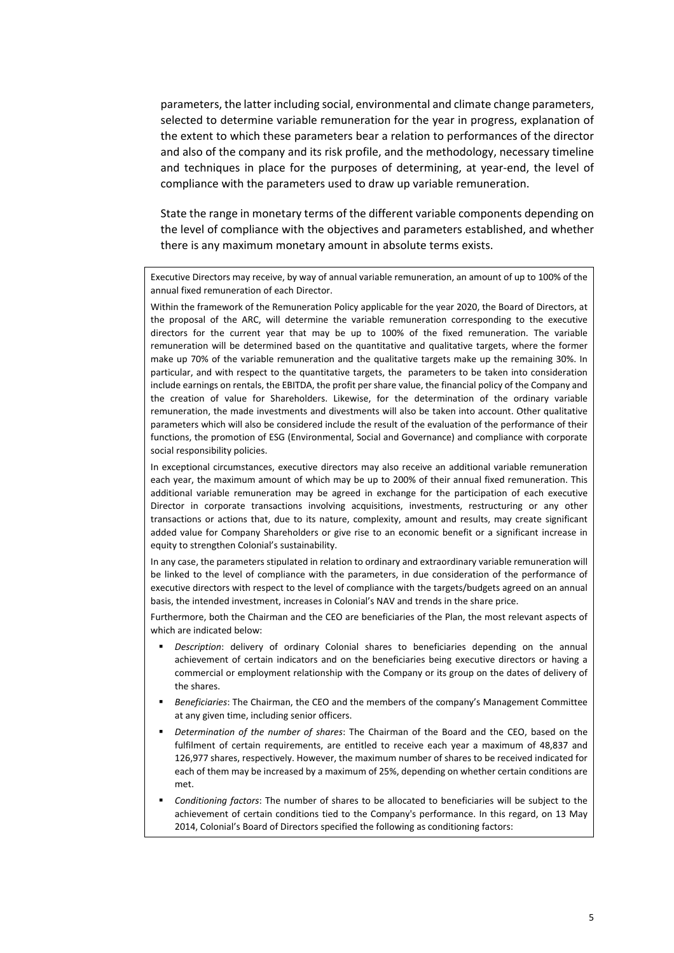parameters, the latter including social, environmental and climate change parameters, selected to determine variable remuneration for the year in progress, explanation of the extent to which these parameters bear a relation to performances of the director and also of the company and its risk profile, and the methodology, necessary timeline and techniques in place for the purposes of determining, at year-end, the level of compliance with the parameters used to draw up variable remuneration.

State the range in monetary terms of the different variable components depending on the level of compliance with the objectives and parameters established, and whether there is any maximum monetary amount in absolute terms exists.

Executive Directors may receive, by way of annual variable remuneration, an amount of up to 100% of the annual fixed remuneration of each Director.

Within the framework of the Remuneration Policy applicable for the year 2020, the Board of Directors, at the proposal of the ARC, will determine the variable remuneration corresponding to the executive directors for the current year that may be up to 100% of the fixed remuneration. The variable remuneration will be determined based on the quantitative and qualitative targets, where the former make up 70% of the variable remuneration and the qualitative targets make up the remaining 30%. In particular, and with respect to the quantitative targets, the parameters to be taken into consideration include earnings on rentals, the EBITDA, the profit per share value, the financial policy of the Company and the creation of value for Shareholders. Likewise, for the determination of the ordinary variable remuneration, the made investments and divestments will also be taken into account. Other qualitative parameters which will also be considered include the result of the evaluation of the performance of their functions, the promotion of ESG (Environmental, Social and Governance) and compliance with corporate social responsibility policies.

In exceptional circumstances, executive directors may also receive an additional variable remuneration each year, the maximum amount of which may be up to 200% of their annual fixed remuneration. This additional variable remuneration may be agreed in exchange for the participation of each executive Director in corporate transactions involving acquisitions, investments, restructuring or any other transactions or actions that, due to its nature, complexity, amount and results, may create significant added value for Company Shareholders or give rise to an economic benefit or a significant increase in equity to strengthen Colonial's sustainability.

In any case, the parameters stipulated in relation to ordinary and extraordinary variable remuneration will be linked to the level of compliance with the parameters, in due consideration of the performance of executive directors with respect to the level of compliance with the targets/budgets agreed on an annual basis, the intended investment, increases in Colonial's NAV and trends in the share price.

Furthermore, both the Chairman and the CEO are beneficiaries of the Plan, the most relevant aspects of which are indicated below:

- *Description*: delivery of ordinary Colonial shares to beneficiaries depending on the annual achievement of certain indicators and on the beneficiaries being executive directors or having a commercial or employment relationship with the Company or its group on the dates of delivery of the shares.
- *Beneficiaries*: The Chairman, the CEO and the members of the company's Management Committee at any given time, including senior officers.
- *Determination of the number of shares*: The Chairman of the Board and the CEO, based on the fulfilment of certain requirements, are entitled to receive each year a maximum of 48,837 and 126,977 shares, respectively. However, the maximum number of shares to be received indicated for each of them may be increased by a maximum of 25%, depending on whether certain conditions are met.
- *Conditioning factors*: The number of shares to be allocated to beneficiaries will be subject to the achievement of certain conditions tied to the Company's performance. In this regard, on 13 May 2014, Colonial's Board of Directors specified the following as conditioning factors: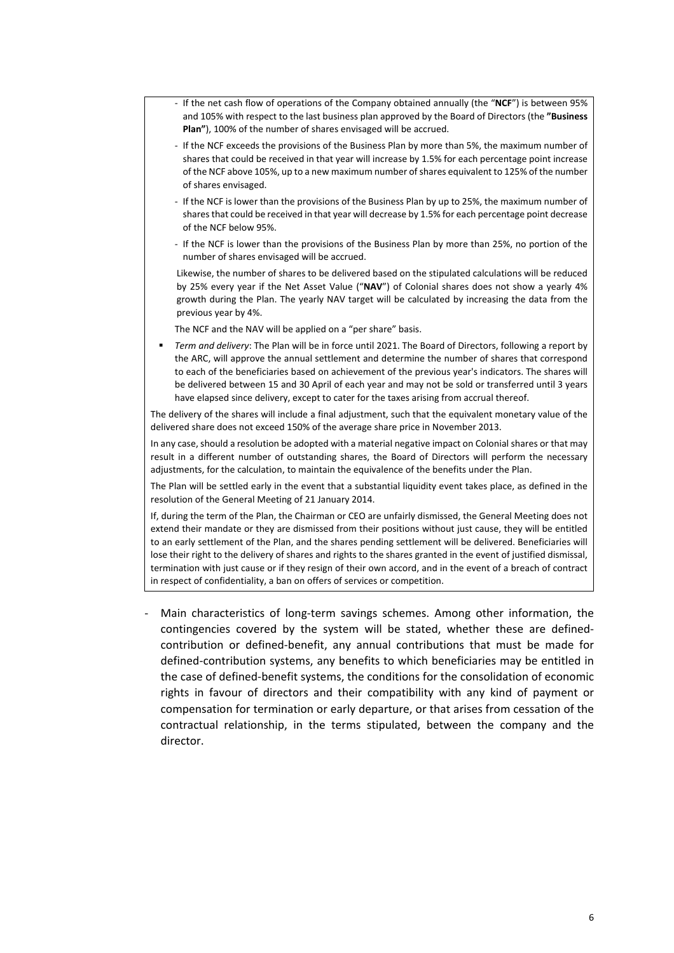- ‐ If the net cash flow of operations of the Company obtained annually (the "**NCF**") is between 95% and 105% with respect to the last business plan approved by the Board of Directors (the **"Business Plan"**), 100% of the number of shares envisaged will be accrued.
- ‐ If the NCF exceeds the provisions of the Business Plan by more than 5%, the maximum number of shares that could be received in that year will increase by 1.5% for each percentage point increase of the NCF above 105%, up to a new maximum number of shares equivalent to 125% of the number of shares envisaged.
- ‐ If the NCF is lower than the provisions of the Business Plan by up to 25%, the maximum number of shares that could be received in that year will decrease by 1.5% for each percentage point decrease of the NCF below 95%.
- ‐ If the NCF is lower than the provisions of the Business Plan by more than 25%, no portion of the number of shares envisaged will be accrued.

Likewise, the number of shares to be delivered based on the stipulated calculations will be reduced by 25% every year if the Net Asset Value ("NAV") of Colonial shares does not show a yearly 4% growth during the Plan. The yearly NAV target will be calculated by increasing the data from the previous year by 4%.

The NCF and the NAV will be applied on a "per share" basis.

 *Term and delivery*: The Plan will be in force until 2021. The Board of Directors, following a report by the ARC, will approve the annual settlement and determine the number of shares that correspond to each of the beneficiaries based on achievement of the previous year's indicators. The shares will be delivered between 15 and 30 April of each year and may not be sold or transferred until 3 years have elapsed since delivery, except to cater for the taxes arising from accrual thereof.

The delivery of the shares will include a final adjustment, such that the equivalent monetary value of the delivered share does not exceed 150% of the average share price in November 2013.

In any case, should a resolution be adopted with a material negative impact on Colonial shares or that may result in a different number of outstanding shares, the Board of Directors will perform the necessary adjustments, for the calculation, to maintain the equivalence of the benefits under the Plan.

The Plan will be settled early in the event that a substantial liquidity event takes place, as defined in the resolution of the General Meeting of 21 January 2014.

If, during the term of the Plan, the Chairman or CEO are unfairly dismissed, the General Meeting does not extend their mandate or they are dismissed from their positions without just cause, they will be entitled to an early settlement of the Plan, and the shares pending settlement will be delivered. Beneficiaries will lose their right to the delivery of shares and rights to the shares granted in the event of justified dismissal, termination with just cause or if they resign of their own accord, and in the event of a breach of contract in respect of confidentiality, a ban on offers of services or competition.

Main characteristics of long-term savings schemes. Among other information, the contingencies covered by the system will be stated, whether these are defined‐ contribution or defined‐benefit, any annual contributions that must be made for defined‐contribution systems, any benefits to which beneficiaries may be entitled in the case of defined‐benefit systems, the conditions for the consolidation of economic rights in favour of directors and their compatibility with any kind of payment or compensation for termination or early departure, or that arises from cessation of the contractual relationship, in the terms stipulated, between the company and the director.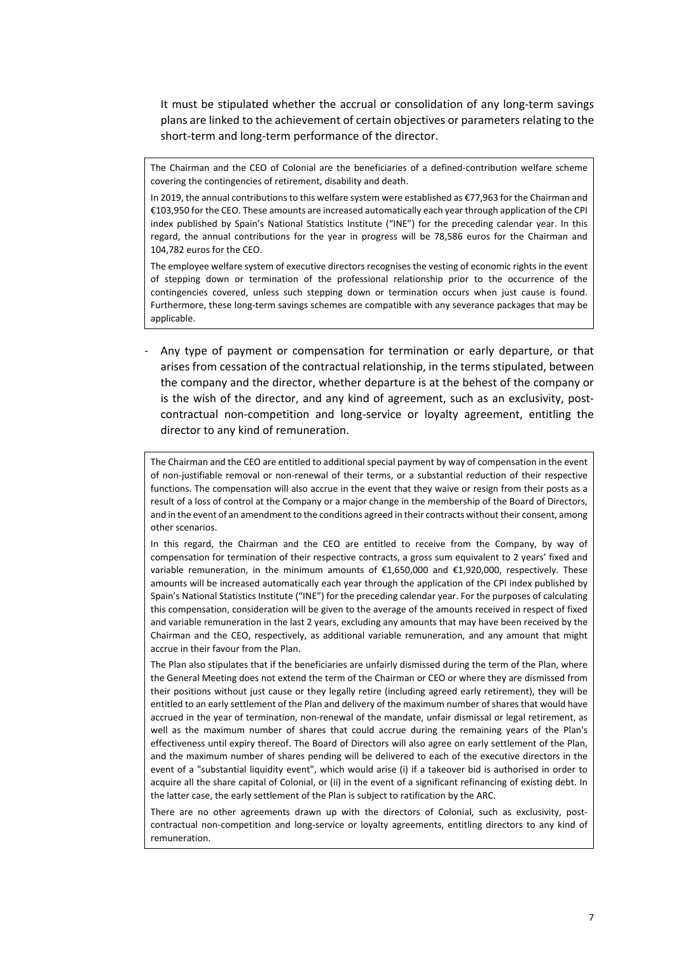It must be stipulated whether the accrual or consolidation of any long-term savings plans are linked to the achievement of certain objectives or parameters relating to the short-term and long-term performance of the director.

The Chairman and the CEO of Colonial are the beneficiaries of a defined-contribution welfare scheme covering the contingencies of retirement, disability and death.

In 2019, the annual contributions to this welfare system were established as €77,963 for the Chairman and €103,950 for the CEO. These amounts are increased automatically each year through application of the CPI index published by Spain's National Statistics Institute ("INE") for the preceding calendar year. In this regard, the annual contributions for the year in progress will be 78,586 euros for the Chairman and 104,782 euros for the CEO.

The employee welfare system of executive directors recognises the vesting of economic rights in the event of stepping down or termination of the professional relationship prior to the occurrence of the contingencies covered, unless such stepping down or termination occurs when just cause is found. Furthermore, these long‐term savings schemes are compatible with any severance packages that may be applicable.

‐ Any type of payment or compensation for termination or early departure, or that arises from cessation of the contractual relationship, in the terms stipulated, between the company and the director, whether departure is at the behest of the company or is the wish of the director, and any kind of agreement, such as an exclusivity, postcontractual non-competition and long-service or loyalty agreement, entitling the director to any kind of remuneration.

The Chairman and the CEO are entitled to additional special payment by way of compensation in the event of non-justifiable removal or non-renewal of their terms, or a substantial reduction of their respective functions. The compensation will also accrue in the event that they waive or resign from their posts as a result of a loss of control at the Company or a major change in the membership of the Board of Directors, and in the event of an amendment to the conditions agreed in their contracts without their consent, among other scenarios.

In this regard, the Chairman and the CEO are entitled to receive from the Company, by way of compensation for termination of their respective contracts, a gross sum equivalent to 2 years' fixed and variable remuneration, in the minimum amounts of  $\epsilon$ 1,650,000 and  $\epsilon$ 1,920,000, respectively. These amounts will be increased automatically each year through the application of the CPI index published by Spain's National Statistics Institute ("INE") for the preceding calendar year. For the purposes of calculating this compensation, consideration will be given to the average of the amounts received in respect of fixed and variable remuneration in the last 2 years, excluding any amounts that may have been received by the Chairman and the CEO, respectively, as additional variable remuneration, and any amount that might accrue in their favour from the Plan.

The Plan also stipulates that if the beneficiaries are unfairly dismissed during the term of the Plan, where the General Meeting does not extend the term of the Chairman or CEO or where they are dismissed from their positions without just cause or they legally retire (including agreed early retirement), they will be entitled to an early settlement of the Plan and delivery of the maximum number of shares that would have accrued in the year of termination, non-renewal of the mandate, unfair dismissal or legal retirement, as well as the maximum number of shares that could accrue during the remaining years of the Plan's effectiveness until expiry thereof. The Board of Directors will also agree on early settlement of the Plan, and the maximum number of shares pending will be delivered to each of the executive directors in the event of a "substantial liquidity event", which would arise (i) if a takeover bid is authorised in order to acquire all the share capital of Colonial, or (ii) in the event of a significant refinancing of existing debt. In the latter case, the early settlement of the Plan is subject to ratification by the ARC.

There are no other agreements drawn up with the directors of Colonial, such as exclusivity, postcontractual non-competition and long-service or loyalty agreements, entitling directors to any kind of remuneration.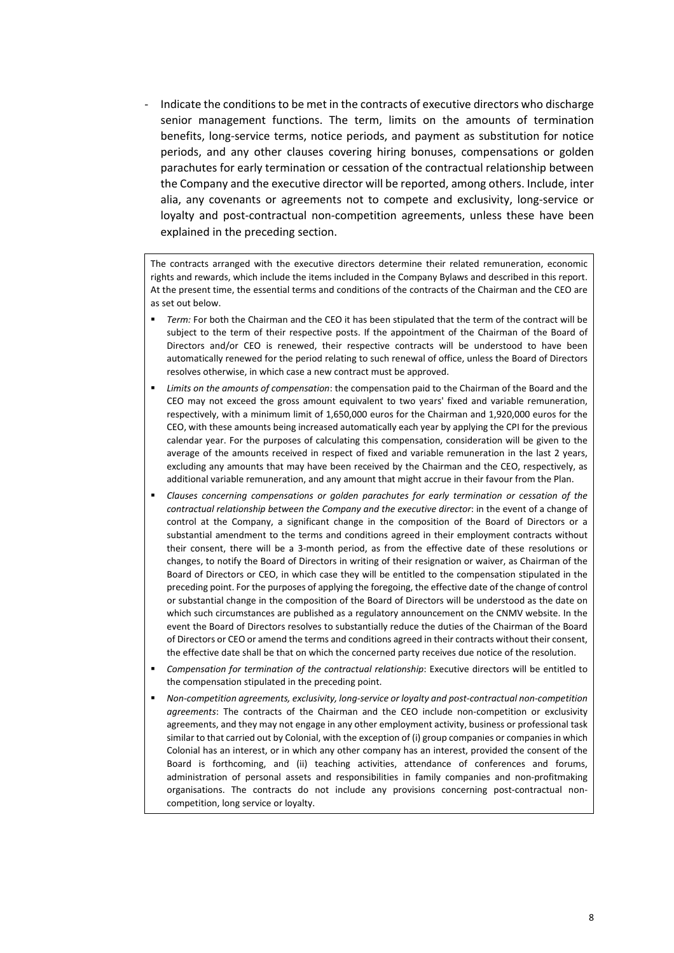‐ Indicate the conditions to be met in the contracts of executive directors who discharge senior management functions. The term, limits on the amounts of termination benefits, long‐service terms, notice periods, and payment as substitution for notice periods, and any other clauses covering hiring bonuses, compensations or golden parachutes for early termination or cessation of the contractual relationship between the Company and the executive director will be reported, among others. Include, inter alia, any covenants or agreements not to compete and exclusivity, long‐service or loyalty and post-contractual non-competition agreements, unless these have been explained in the preceding section.

The contracts arranged with the executive directors determine their related remuneration, economic rights and rewards, which include the items included in the Company Bylaws and described in this report. At the present time, the essential terms and conditions of the contracts of the Chairman and the CEO are as set out below.

- *Term:* For both the Chairman and the CEO it has been stipulated that the term of the contract will be subject to the term of their respective posts. If the appointment of the Chairman of the Board of Directors and/or CEO is renewed, their respective contracts will be understood to have been automatically renewed for the period relating to such renewal of office, unless the Board of Directors resolves otherwise, in which case a new contract must be approved.
- *Limits on the amounts of compensation*: the compensation paid to the Chairman of the Board and the CEO may not exceed the gross amount equivalent to two years' fixed and variable remuneration, respectively, with a minimum limit of 1,650,000 euros for the Chairman and 1,920,000 euros for the CEO, with these amounts being increased automatically each year by applying the CPI for the previous calendar year. For the purposes of calculating this compensation, consideration will be given to the average of the amounts received in respect of fixed and variable remuneration in the last 2 years, excluding any amounts that may have been received by the Chairman and the CEO, respectively, as additional variable remuneration, and any amount that might accrue in their favour from the Plan.
- *Clauses concerning compensations or golden parachutes for early termination or cessation of the contractual relationship between the Company and the executive director*: in the event of a change of control at the Company, a significant change in the composition of the Board of Directors or a substantial amendment to the terms and conditions agreed in their employment contracts without their consent, there will be a 3-month period, as from the effective date of these resolutions or changes, to notify the Board of Directors in writing of their resignation or waiver, as Chairman of the Board of Directors or CEO, in which case they will be entitled to the compensation stipulated in the preceding point. For the purposes of applying the foregoing, the effective date of the change of control or substantial change in the composition of the Board of Directors will be understood as the date on which such circumstances are published as a regulatory announcement on the CNMV website. In the event the Board of Directors resolves to substantially reduce the duties of the Chairman of the Board of Directors or CEO or amend the terms and conditions agreed in their contracts without their consent, the effective date shall be that on which the concerned party receives due notice of the resolution.
- *Compensation for termination of the contractual relationship*: Executive directors will be entitled to the compensation stipulated in the preceding point.
- *Non‐competition agreements, exclusivity, long‐service or loyalty and post‐contractual non‐competition agreements*: The contracts of the Chairman and the CEO include non‐competition or exclusivity agreements, and they may not engage in any other employment activity, business or professional task similar to that carried out by Colonial, with the exception of (i) group companies or companies in which Colonial has an interest, or in which any other company has an interest, provided the consent of the Board is forthcoming, and (ii) teaching activities, attendance of conferences and forums, administration of personal assets and responsibilities in family companies and non-profitmaking organisations. The contracts do not include any provisions concerning post-contractual noncompetition, long service or loyalty.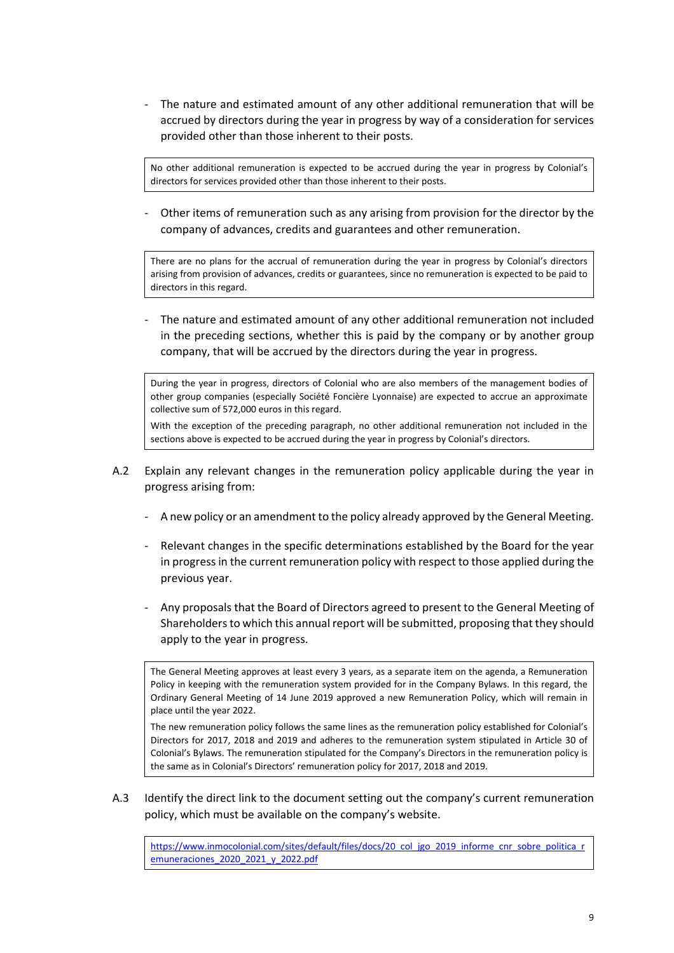‐ The nature and estimated amount of any other additional remuneration that will be accrued by directors during the year in progress by way of a consideration for services provided other than those inherent to their posts.

No other additional remuneration is expected to be accrued during the year in progress by Colonial's directors for services provided other than those inherent to their posts.

‐ Other items of remuneration such as any arising from provision for the director by the company of advances, credits and guarantees and other remuneration.

There are no plans for the accrual of remuneration during the year in progress by Colonial's directors arising from provision of advances, credits or guarantees, since no remuneration is expected to be paid to directors in this regard.

‐ The nature and estimated amount of any other additional remuneration not included in the preceding sections, whether this is paid by the company or by another group company, that will be accrued by the directors during the year in progress.

During the year in progress, directors of Colonial who are also members of the management bodies of other group companies (especially Société Foncière Lyonnaise) are expected to accrue an approximate collective sum of 572,000 euros in this regard.

With the exception of the preceding paragraph, no other additional remuneration not included in the sections above is expected to be accrued during the year in progress by Colonial's directors.

- A.2 Explain any relevant changes in the remuneration policy applicable during the year in progress arising from:
	- ‐ A new policy or an amendment to the policy already approved by the General Meeting.
	- Relevant changes in the specific determinations established by the Board for the year in progress in the current remuneration policy with respect to those applied during the previous year.
	- ‐ Any proposals that the Board of Directors agreed to present to the General Meeting of Shareholders to which this annual report will be submitted, proposing that they should apply to the year in progress.

The General Meeting approves at least every 3 years, as a separate item on the agenda, a Remuneration Policy in keeping with the remuneration system provided for in the Company Bylaws. In this regard, the Ordinary General Meeting of 14 June 2019 approved a new Remuneration Policy, which will remain in place until the year 2022.

The new remuneration policy follows the same lines as the remuneration policy established for Colonial's Directors for 2017, 2018 and 2019 and adheres to the remuneration system stipulated in Article 30 of Colonial's Bylaws. The remuneration stipulated for the Company's Directors in the remuneration policy is the same as in Colonial's Directors' remuneration policy for 2017, 2018 and 2019.

A.3 Identify the direct link to the document setting out the company's current remuneration policy, which must be available on the company's website.

https://www.inmocolonial.com/sites/default/files/docs/20\_col\_jgo\_2019\_informe\_cnr\_sobre\_politica\_r emuneraciones\_2020\_2021\_y\_2022.pdf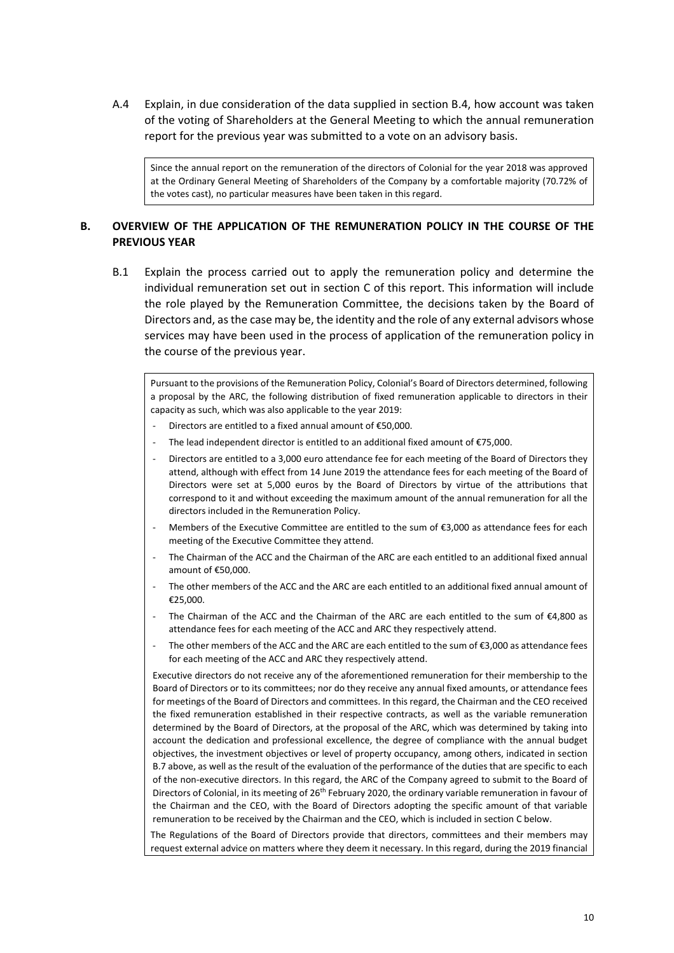A.4 Explain, in due consideration of the data supplied in section B.4, how account was taken of the voting of Shareholders at the General Meeting to which the annual remuneration report for the previous year was submitted to a vote on an advisory basis.

Since the annual report on the remuneration of the directors of Colonial for the year 2018 was approved at the Ordinary General Meeting of Shareholders of the Company by a comfortable majority (70.72% of the votes cast), no particular measures have been taken in this regard.

#### **B. OVERVIEW OF THE APPLICATION OF THE REMUNERATION POLICY IN THE COURSE OF THE PREVIOUS YEAR**

B.1 Explain the process carried out to apply the remuneration policy and determine the individual remuneration set out in section C of this report. This information will include the role played by the Remuneration Committee, the decisions taken by the Board of Directors and, as the case may be, the identity and the role of any external advisors whose services may have been used in the process of application of the remuneration policy in the course of the previous year.

Pursuant to the provisions of the Remuneration Policy, Colonial's Board of Directors determined, following a proposal by the ARC, the following distribution of fixed remuneration applicable to directors in their capacity as such, which was also applicable to the year 2019:

- ‐ Directors are entitled to a fixed annual amount of €50,000.
- The lead independent director is entitled to an additional fixed amount of  $£75,000$ .
- ‐ Directors are entitled to a 3,000 euro attendance fee for each meeting of the Board of Directors they attend, although with effect from 14 June 2019 the attendance fees for each meeting of the Board of Directors were set at 5,000 euros by the Board of Directors by virtue of the attributions that correspond to it and without exceeding the maximum amount of the annual remuneration for all the directors included in the Remuneration Policy.
- Members of the Executive Committee are entitled to the sum of €3,000 as attendance fees for each meeting of the Executive Committee they attend.
- ‐ The Chairman of the ACC and the Chairman of the ARC are each entitled to an additional fixed annual amount of €50,000.
- The other members of the ACC and the ARC are each entitled to an additional fixed annual amount of €25,000.
- The Chairman of the ACC and the Chairman of the ARC are each entitled to the sum of  $\epsilon$ 4,800 as attendance fees for each meeting of the ACC and ARC they respectively attend.
- The other members of the ACC and the ARC are each entitled to the sum of €3,000 as attendance fees for each meeting of the ACC and ARC they respectively attend.

Executive directors do not receive any of the aforementioned remuneration for their membership to the Board of Directors or to its committees; nor do they receive any annual fixed amounts, or attendance fees for meetings of the Board of Directors and committees. In this regard, the Chairman and the CEO received the fixed remuneration established in their respective contracts, as well as the variable remuneration determined by the Board of Directors, at the proposal of the ARC, which was determined by taking into account the dedication and professional excellence, the degree of compliance with the annual budget objectives, the investment objectives or level of property occupancy, among others, indicated in section B.7 above, as well as the result of the evaluation of the performance of the duties that are specific to each of the non-executive directors. In this regard, the ARC of the Company agreed to submit to the Board of Directors of Colonial, in its meeting of 26<sup>th</sup> February 2020, the ordinary variable remuneration in favour of the Chairman and the CEO, with the Board of Directors adopting the specific amount of that variable remuneration to be received by the Chairman and the CEO, which is included in section C below.

The Regulations of the Board of Directors provide that directors, committees and their members may request external advice on matters where they deem it necessary. In this regard, during the 2019 financial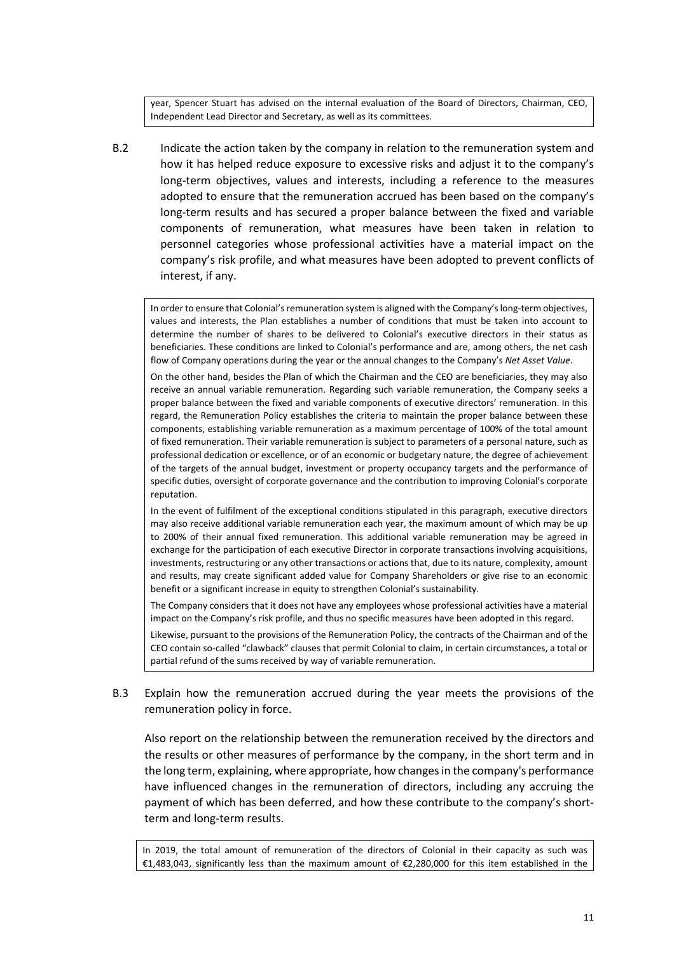year, Spencer Stuart has advised on the internal evaluation of the Board of Directors, Chairman, CEO, Independent Lead Director and Secretary, as well as its committees.

B.2 Indicate the action taken by the company in relation to the remuneration system and how it has helped reduce exposure to excessive risks and adjust it to the company's long-term objectives, values and interests, including a reference to the measures adopted to ensure that the remuneration accrued has been based on the company's long‐term results and has secured a proper balance between the fixed and variable components of remuneration, what measures have been taken in relation to personnel categories whose professional activities have a material impact on the company's risk profile, and what measures have been adopted to prevent conflicts of interest, if any.

In order to ensure that Colonial's remuneration system is aligned with the Company's long‐term objectives, values and interests, the Plan establishes a number of conditions that must be taken into account to determine the number of shares to be delivered to Colonial's executive directors in their status as beneficiaries. These conditions are linked to Colonial's performance and are, among others, the net cash flow of Company operations during the year or the annual changes to the Company's *Net Asset Value*.

On the other hand, besides the Plan of which the Chairman and the CEO are beneficiaries, they may also receive an annual variable remuneration. Regarding such variable remuneration, the Company seeks a proper balance between the fixed and variable components of executive directors' remuneration. In this regard, the Remuneration Policy establishes the criteria to maintain the proper balance between these components, establishing variable remuneration as a maximum percentage of 100% of the total amount of fixed remuneration. Their variable remuneration is subject to parameters of a personal nature, such as professional dedication or excellence, or of an economic or budgetary nature, the degree of achievement of the targets of the annual budget, investment or property occupancy targets and the performance of specific duties, oversight of corporate governance and the contribution to improving Colonial's corporate reputation.

In the event of fulfilment of the exceptional conditions stipulated in this paragraph, executive directors may also receive additional variable remuneration each year, the maximum amount of which may be up to 200% of their annual fixed remuneration. This additional variable remuneration may be agreed in exchange for the participation of each executive Director in corporate transactions involving acquisitions, investments, restructuring or any other transactions or actions that, due to its nature, complexity, amount and results, may create significant added value for Company Shareholders or give rise to an economic benefit or a significant increase in equity to strengthen Colonial's sustainability.

The Company considers that it does not have any employees whose professional activities have a material impact on the Company's risk profile, and thus no specific measures have been adopted in this regard.

Likewise, pursuant to the provisions of the Remuneration Policy, the contracts of the Chairman and of the CEO contain so‐called "clawback" clauses that permit Colonial to claim, in certain circumstances, a total or partial refund of the sums received by way of variable remuneration.

B.3 Explain how the remuneration accrued during the year meets the provisions of the remuneration policy in force.

Also report on the relationship between the remuneration received by the directors and the results or other measures of performance by the company, in the short term and in the long term, explaining, where appropriate, how changes in the company's performance have influenced changes in the remuneration of directors, including any accruing the payment of which has been deferred, and how these contribute to the company's short‐ term and long‐term results.

In 2019, the total amount of remuneration of the directors of Colonial in their capacity as such was €1,483,043, significantly less than the maximum amount of €2,280,000 for this item established in the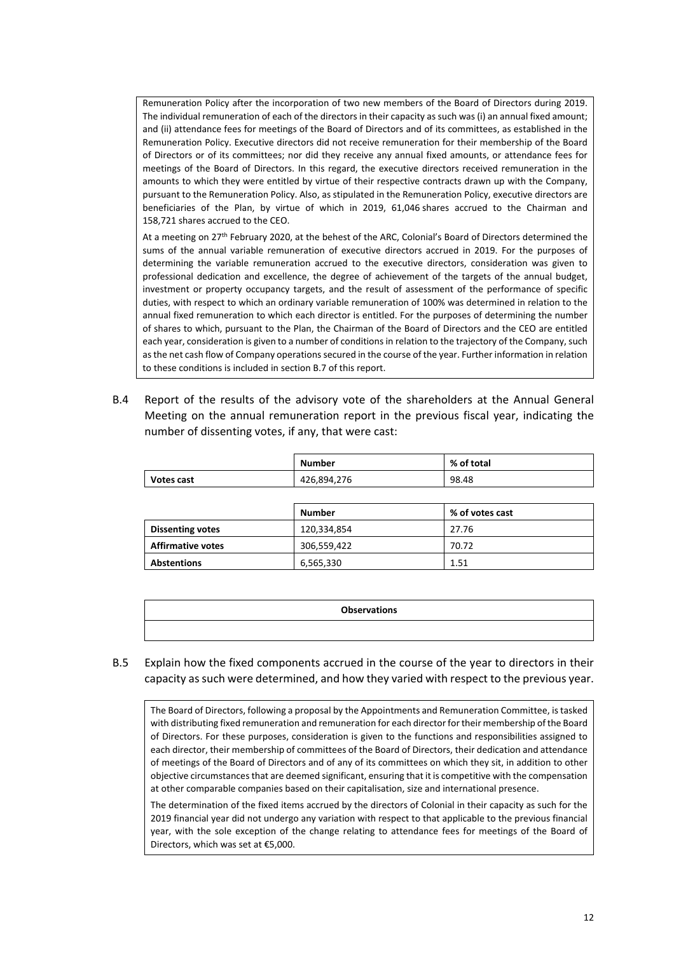Remuneration Policy after the incorporation of two new members of the Board of Directors during 2019. The individual remuneration of each of the directors in their capacity as such was (i) an annual fixed amount; and (ii) attendance fees for meetings of the Board of Directors and of its committees, as established in the Remuneration Policy. Executive directors did not receive remuneration for their membership of the Board of Directors or of its committees; nor did they receive any annual fixed amounts, or attendance fees for meetings of the Board of Directors. In this regard, the executive directors received remuneration in the amounts to which they were entitled by virtue of their respective contracts drawn up with the Company, pursuant to the Remuneration Policy. Also, as stipulated in the Remuneration Policy, executive directors are beneficiaries of the Plan, by virtue of which in 2019, 61,046 shares accrued to the Chairman and 158,721 shares accrued to the CEO.

At a meeting on 27th February 2020, at the behest of the ARC, Colonial's Board of Directors determined the sums of the annual variable remuneration of executive directors accrued in 2019. For the purposes of determining the variable remuneration accrued to the executive directors, consideration was given to professional dedication and excellence, the degree of achievement of the targets of the annual budget, investment or property occupancy targets, and the result of assessment of the performance of specific duties, with respect to which an ordinary variable remuneration of 100% was determined in relation to the annual fixed remuneration to which each director is entitled. For the purposes of determining the number of shares to which, pursuant to the Plan, the Chairman of the Board of Directors and the CEO are entitled each year, consideration is given to a number of conditions in relation to the trajectory of the Company, such as the net cash flow of Company operations secured in the course of the year. Further information in relation to these conditions is included in section B.7 of this report.

B.4 Report of the results of the advisory vote of the shareholders at the Annual General Meeting on the annual remuneration report in the previous fiscal year, indicating the number of dissenting votes, if any, that were cast:

|                         | <b>Number</b> | % of total      |
|-------------------------|---------------|-----------------|
| Votes cast              | 426,894,276   | 98.48           |
|                         |               |                 |
|                         |               |                 |
|                         | <b>Number</b> | % of votes cast |
| <b>Dissenting votes</b> | 120,334,854   | 27.76           |

| <b>Observations</b> |
|---------------------|
|                     |

#### B.5 Explain how the fixed components accrued in the course of the year to directors in their capacity as such were determined, and how they varied with respect to the previous year.

**Abstentions 6,565,330 1.51** 

The Board of Directors, following a proposal by the Appointments and Remuneration Committee, is tasked with distributing fixed remuneration and remuneration for each director for their membership of the Board of Directors. For these purposes, consideration is given to the functions and responsibilities assigned to each director, their membership of committees of the Board of Directors, their dedication and attendance of meetings of the Board of Directors and of any of its committees on which they sit, in addition to other objective circumstances that are deemed significant, ensuring that it is competitive with the compensation at other comparable companies based on their capitalisation, size and international presence.

The determination of the fixed items accrued by the directors of Colonial in their capacity as such for the 2019 financial year did not undergo any variation with respect to that applicable to the previous financial year, with the sole exception of the change relating to attendance fees for meetings of the Board of Directors, which was set at €5,000.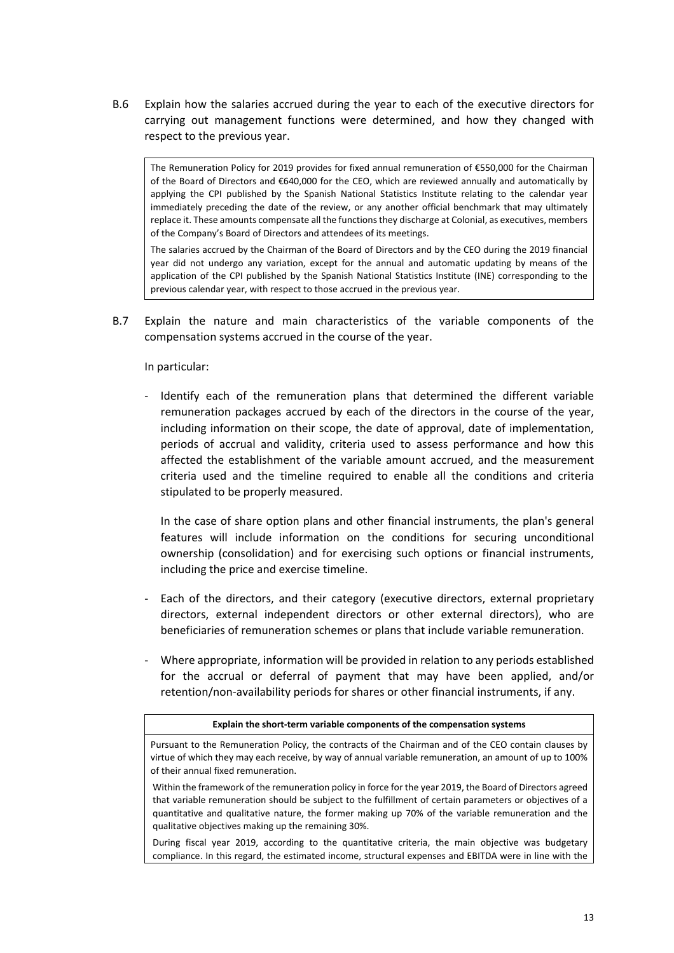B.6 Explain how the salaries accrued during the year to each of the executive directors for carrying out management functions were determined, and how they changed with respect to the previous year.

The Remuneration Policy for 2019 provides for fixed annual remuneration of €550,000 for the Chairman of the Board of Directors and €640,000 for the CEO, which are reviewed annually and automatically by applying the CPI published by the Spanish National Statistics Institute relating to the calendar year immediately preceding the date of the review, or any another official benchmark that may ultimately replace it. These amounts compensate all the functions they discharge at Colonial, as executives, members of the Company's Board of Directors and attendees of its meetings.

The salaries accrued by the Chairman of the Board of Directors and by the CEO during the 2019 financial year did not undergo any variation, except for the annual and automatic updating by means of the application of the CPI published by the Spanish National Statistics Institute (INE) corresponding to the previous calendar year, with respect to those accrued in the previous year.

B.7 Explain the nature and main characteristics of the variable components of the compensation systems accrued in the course of the year.

In particular:

‐ Identify each of the remuneration plans that determined the different variable remuneration packages accrued by each of the directors in the course of the year, including information on their scope, the date of approval, date of implementation, periods of accrual and validity, criteria used to assess performance and how this affected the establishment of the variable amount accrued, and the measurement criteria used and the timeline required to enable all the conditions and criteria stipulated to be properly measured.

In the case of share option plans and other financial instruments, the plan's general features will include information on the conditions for securing unconditional ownership (consolidation) and for exercising such options or financial instruments, including the price and exercise timeline.

- Each of the directors, and their category (executive directors, external proprietary directors, external independent directors or other external directors), who are beneficiaries of remuneration schemes or plans that include variable remuneration.
- ‐ Where appropriate, information will be provided in relation to any periods established for the accrual or deferral of payment that may have been applied, and/or retention/non‐availability periods for shares or other financial instruments, if any.

#### **Explain the short‐term variable components of the compensation systems**

Pursuant to the Remuneration Policy, the contracts of the Chairman and of the CEO contain clauses by virtue of which they may each receive, by way of annual variable remuneration, an amount of up to 100% of their annual fixed remuneration.

Within the framework of the remuneration policy in force for the year 2019, the Board of Directors agreed that variable remuneration should be subject to the fulfillment of certain parameters or objectives of a quantitative and qualitative nature, the former making up 70% of the variable remuneration and the qualitative objectives making up the remaining 30%.

During fiscal year 2019, according to the quantitative criteria, the main objective was budgetary compliance. In this regard, the estimated income, structural expenses and EBITDA were in line with the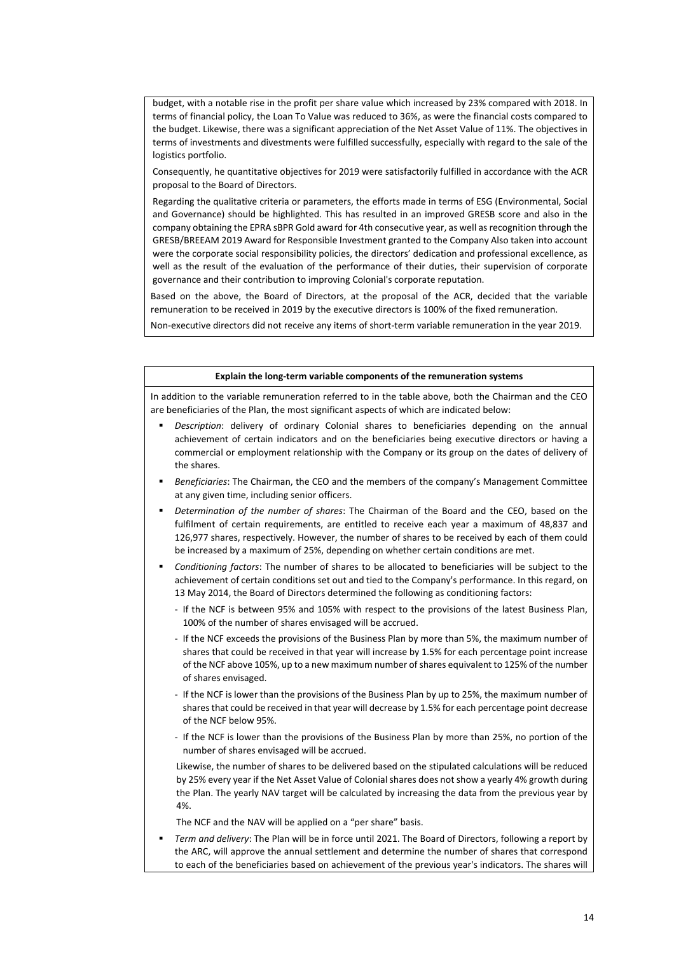budget, with a notable rise in the profit per share value which increased by 23% compared with 2018. In terms of financial policy, the Loan To Value was reduced to 36%, as were the financial costs compared to the budget. Likewise, there was a significant appreciation of the Net Asset Value of 11%. The objectives in terms of investments and divestments were fulfilled successfully, especially with regard to the sale of the logistics portfolio.

Consequently, he quantitative objectives for 2019 were satisfactorily fulfilled in accordance with the ACR proposal to the Board of Directors.

Regarding the qualitative criteria or parameters, the efforts made in terms of ESG (Environmental, Social and Governance) should be highlighted. This has resulted in an improved GRESB score and also in the company obtaining the EPRA sBPR Gold award for 4th consecutive year, as well as recognition through the GRESB/BREEAM 2019 Award for Responsible Investment granted to the Company Also taken into account were the corporate social responsibility policies, the directors' dedication and professional excellence, as well as the result of the evaluation of the performance of their duties, their supervision of corporate governance and their contribution to improving Colonial's corporate reputation.

Based on the above, the Board of Directors, at the proposal of the ACR, decided that the variable remuneration to be received in 2019 by the executive directors is 100% of the fixed remuneration.

Non‐executive directors did not receive any items of short‐term variable remuneration in the year 2019.

#### **Explain the long‐term variable components of the remuneration systems**

In addition to the variable remuneration referred to in the table above, both the Chairman and the CEO are beneficiaries of the Plan, the most significant aspects of which are indicated below:

- *Description*: delivery of ordinary Colonial shares to beneficiaries depending on the annual achievement of certain indicators and on the beneficiaries being executive directors or having a commercial or employment relationship with the Company or its group on the dates of delivery of the shares.
- *Beneficiaries*: The Chairman, the CEO and the members of the company's Management Committee at any given time, including senior officers.
- *Determination of the number of shares*: The Chairman of the Board and the CEO, based on the fulfilment of certain requirements, are entitled to receive each year a maximum of 48,837 and 126,977 shares, respectively. However, the number of shares to be received by each of them could be increased by a maximum of 25%, depending on whether certain conditions are met.
- *Conditioning factors*: The number of shares to be allocated to beneficiaries will be subject to the achievement of certain conditions set out and tied to the Company's performance. In this regard, on 13 May 2014, the Board of Directors determined the following as conditioning factors:
	- ‐ If the NCF is between 95% and 105% with respect to the provisions of the latest Business Plan, 100% of the number of shares envisaged will be accrued.
	- ‐ If the NCF exceeds the provisions of the Business Plan by more than 5%, the maximum number of shares that could be received in that year will increase by 1.5% for each percentage point increase of the NCF above 105%, up to a new maximum number of shares equivalent to 125% of the number of shares envisaged.
	- ‐ If the NCF is lower than the provisions of the Business Plan by up to 25%, the maximum number of shares that could be received in that year will decrease by 1.5% for each percentage point decrease of the NCF below 95%.
	- ‐ If the NCF is lower than the provisions of the Business Plan by more than 25%, no portion of the number of shares envisaged will be accrued.

Likewise, the number of shares to be delivered based on the stipulated calculations will be reduced by 25% every year if the Net Asset Value of Colonial shares does not show a yearly 4% growth during the Plan. The yearly NAV target will be calculated by increasing the data from the previous year by 4%.

The NCF and the NAV will be applied on a "per share" basis.

 *Term and delivery*: The Plan will be in force until 2021. The Board of Directors, following a report by the ARC, will approve the annual settlement and determine the number of shares that correspond to each of the beneficiaries based on achievement of the previous year's indicators. The shares will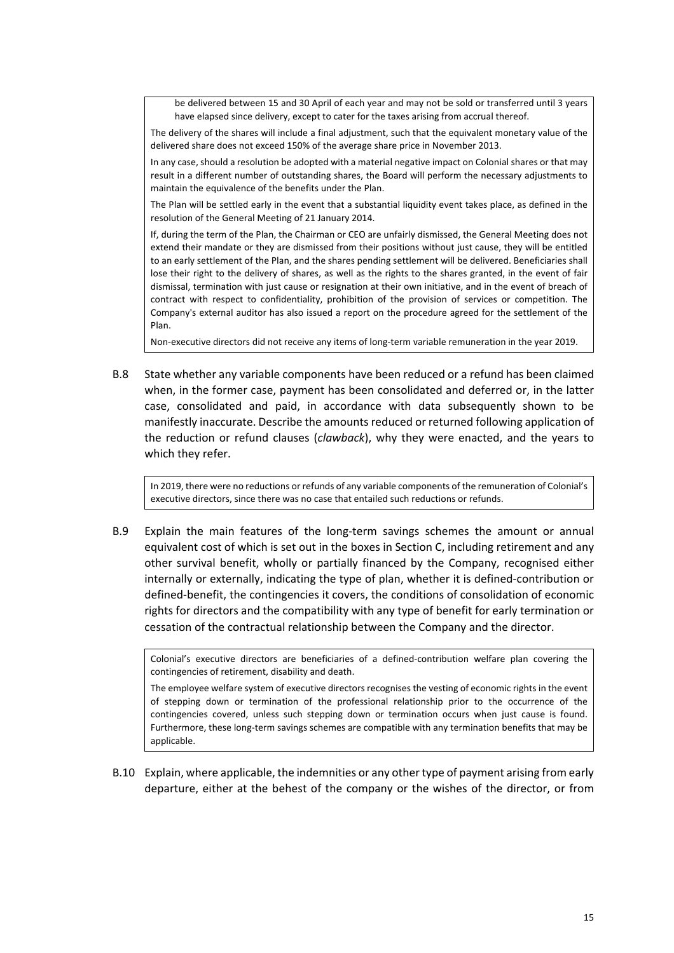be delivered between 15 and 30 April of each year and may not be sold or transferred until 3 years have elapsed since delivery, except to cater for the taxes arising from accrual thereof.

The delivery of the shares will include a final adjustment, such that the equivalent monetary value of the delivered share does not exceed 150% of the average share price in November 2013.

In any case, should a resolution be adopted with a material negative impact on Colonial shares or that may result in a different number of outstanding shares, the Board will perform the necessary adjustments to maintain the equivalence of the benefits under the Plan.

The Plan will be settled early in the event that a substantial liquidity event takes place, as defined in the resolution of the General Meeting of 21 January 2014.

If, during the term of the Plan, the Chairman or CEO are unfairly dismissed, the General Meeting does not extend their mandate or they are dismissed from their positions without just cause, they will be entitled to an early settlement of the Plan, and the shares pending settlement will be delivered. Beneficiaries shall lose their right to the delivery of shares, as well as the rights to the shares granted, in the event of fair dismissal, termination with just cause or resignation at their own initiative, and in the event of breach of contract with respect to confidentiality, prohibition of the provision of services or competition. The Company's external auditor has also issued a report on the procedure agreed for the settlement of the Plan.

Non‐executive directors did not receive any items of long‐term variable remuneration in the year 2019.

B.8 State whether any variable components have been reduced or a refund has been claimed when, in the former case, payment has been consolidated and deferred or, in the latter case, consolidated and paid, in accordance with data subsequently shown to be manifestly inaccurate. Describe the amounts reduced or returned following application of the reduction or refund clauses (*clawback*), why they were enacted, and the years to which they refer.

In 2019, there were no reductions or refunds of any variable components of the remuneration of Colonial's executive directors, since there was no case that entailed such reductions or refunds.

B.9 Explain the main features of the long-term savings schemes the amount or annual equivalent cost of which is set out in the boxes in Section C, including retirement and any other survival benefit, wholly or partially financed by the Company, recognised either internally or externally, indicating the type of plan, whether it is defined‐contribution or defined‐benefit, the contingencies it covers, the conditions of consolidation of economic rights for directors and the compatibility with any type of benefit for early termination or cessation of the contractual relationship between the Company and the director.

Colonial's executive directors are beneficiaries of a defined‐contribution welfare plan covering the contingencies of retirement, disability and death.

The employee welfare system of executive directors recognises the vesting of economic rights in the event of stepping down or termination of the professional relationship prior to the occurrence of the contingencies covered, unless such stepping down or termination occurs when just cause is found. Furthermore, these long‐term savings schemes are compatible with any termination benefits that may be applicable.

B.10 Explain, where applicable, the indemnities or any other type of payment arising from early departure, either at the behest of the company or the wishes of the director, or from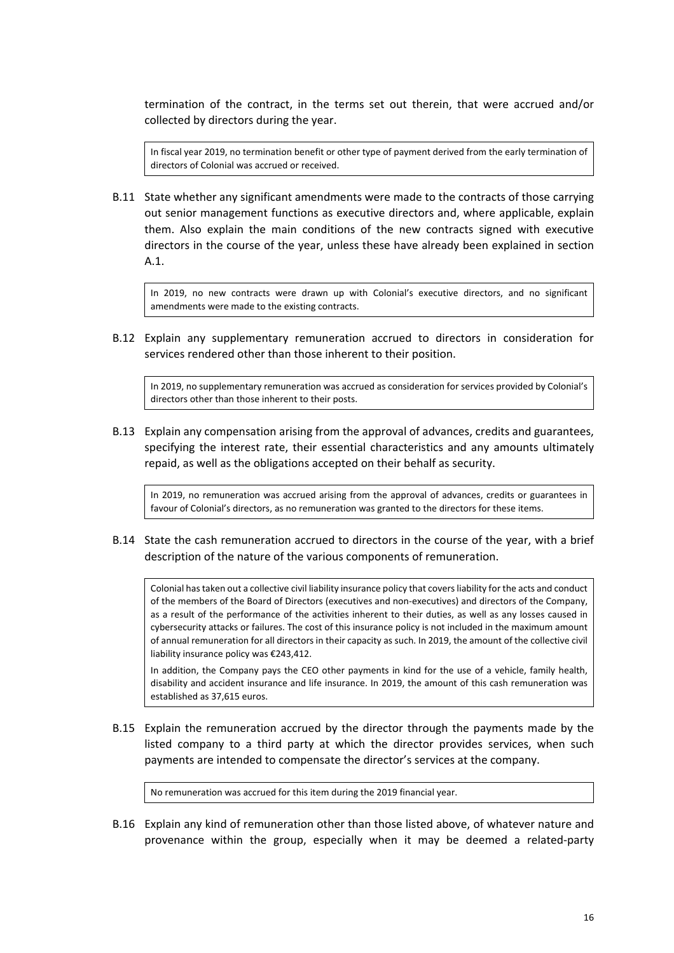termination of the contract, in the terms set out therein, that were accrued and/or collected by directors during the year.

In fiscal year 2019, no termination benefit or other type of payment derived from the early termination of directors of Colonial was accrued or received.

B.11 State whether any significant amendments were made to the contracts of those carrying out senior management functions as executive directors and, where applicable, explain them. Also explain the main conditions of the new contracts signed with executive directors in the course of the year, unless these have already been explained in section A.1.

In 2019, no new contracts were drawn up with Colonial's executive directors, and no significant amendments were made to the existing contracts.

B.12 Explain any supplementary remuneration accrued to directors in consideration for services rendered other than those inherent to their position.

In 2019, no supplementary remuneration was accrued as consideration for services provided by Colonial's directors other than those inherent to their posts.

B.13 Explain any compensation arising from the approval of advances, credits and guarantees, specifying the interest rate, their essential characteristics and any amounts ultimately repaid, as well as the obligations accepted on their behalf as security.

In 2019, no remuneration was accrued arising from the approval of advances, credits or guarantees in favour of Colonial's directors, as no remuneration was granted to the directors for these items.

B.14 State the cash remuneration accrued to directors in the course of the year, with a brief description of the nature of the various components of remuneration.

Colonial has taken out a collective civil liability insurance policy that covers liability for the acts and conduct of the members of the Board of Directors (executives and non‐executives) and directors of the Company, as a result of the performance of the activities inherent to their duties, as well as any losses caused in cybersecurity attacks or failures. The cost of this insurance policy is not included in the maximum amount of annual remuneration for all directors in their capacity as such. In 2019, the amount of the collective civil liability insurance policy was €243,412.

In addition, the Company pays the CEO other payments in kind for the use of a vehicle, family health, disability and accident insurance and life insurance. In 2019, the amount of this cash remuneration was established as 37,615 euros.

B.15 Explain the remuneration accrued by the director through the payments made by the listed company to a third party at which the director provides services, when such payments are intended to compensate the director's services at the company.

No remuneration was accrued for this item during the 2019 financial year.

B.16 Explain any kind of remuneration other than those listed above, of whatever nature and provenance within the group, especially when it may be deemed a related‐party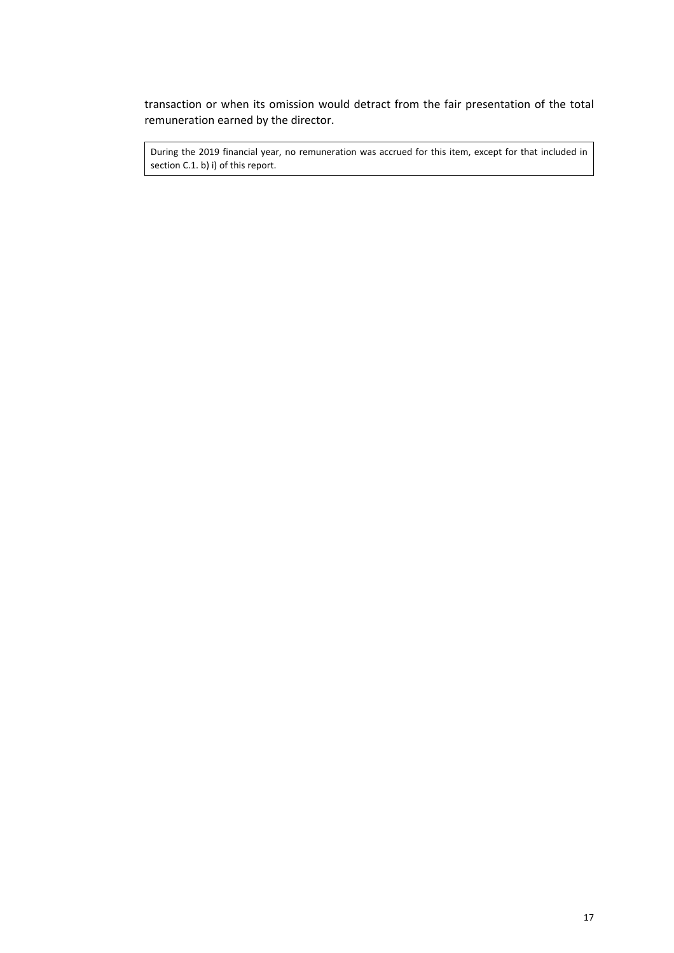transaction or when its omission would detract from the fair presentation of the total remuneration earned by the director.

During the 2019 financial year, no remuneration was accrued for this item, except for that included in section C.1. b) i) of this report.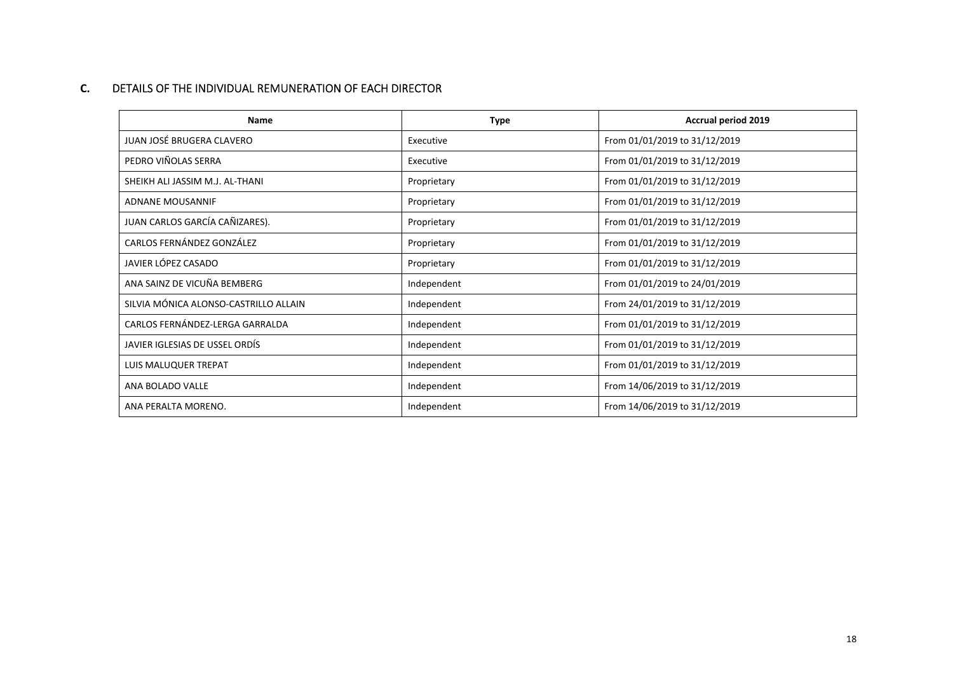#### **C.**DETAILS OF THE INDIVIDUAL REMUNERATION OF EACH DIRECTOR

| Name                                  | <b>Type</b> | <b>Accrual period 2019</b>    |
|---------------------------------------|-------------|-------------------------------|
| JUAN JOSÉ BRUGERA CLAVERO             | Executive   | From 01/01/2019 to 31/12/2019 |
| PEDRO VIÑOLAS SERRA                   | Executive   | From 01/01/2019 to 31/12/2019 |
| SHEIKH ALI JASSIM M.J. AL-THANI       | Proprietary | From 01/01/2019 to 31/12/2019 |
| ADNANE MOUSANNIF                      | Proprietary | From 01/01/2019 to 31/12/2019 |
| JUAN CARLOS GARCÍA CAÑIZARES).        | Proprietary | From 01/01/2019 to 31/12/2019 |
| CARLOS FERNÁNDEZ GONZÁLEZ             | Proprietary | From 01/01/2019 to 31/12/2019 |
| JAVIER LÓPEZ CASADO                   | Proprietary | From 01/01/2019 to 31/12/2019 |
| ANA SAINZ DE VICUÑA BEMBERG           | Independent | From 01/01/2019 to 24/01/2019 |
| SILVIA MÓNICA ALONSO-CASTRILLO ALLAIN | Independent | From 24/01/2019 to 31/12/2019 |
| CARLOS FERNÁNDEZ-LERGA GARRALDA       | Independent | From 01/01/2019 to 31/12/2019 |
| JAVIER IGLESIAS DE USSEL ORDÍS        | Independent | From 01/01/2019 to 31/12/2019 |
| LUIS MALUQUER TREPAT                  | Independent | From 01/01/2019 to 31/12/2019 |
| ANA BOLADO VALLE                      | Independent | From 14/06/2019 to 31/12/2019 |
| ANA PERALTA MORENO.                   | Independent | From 14/06/2019 to 31/12/2019 |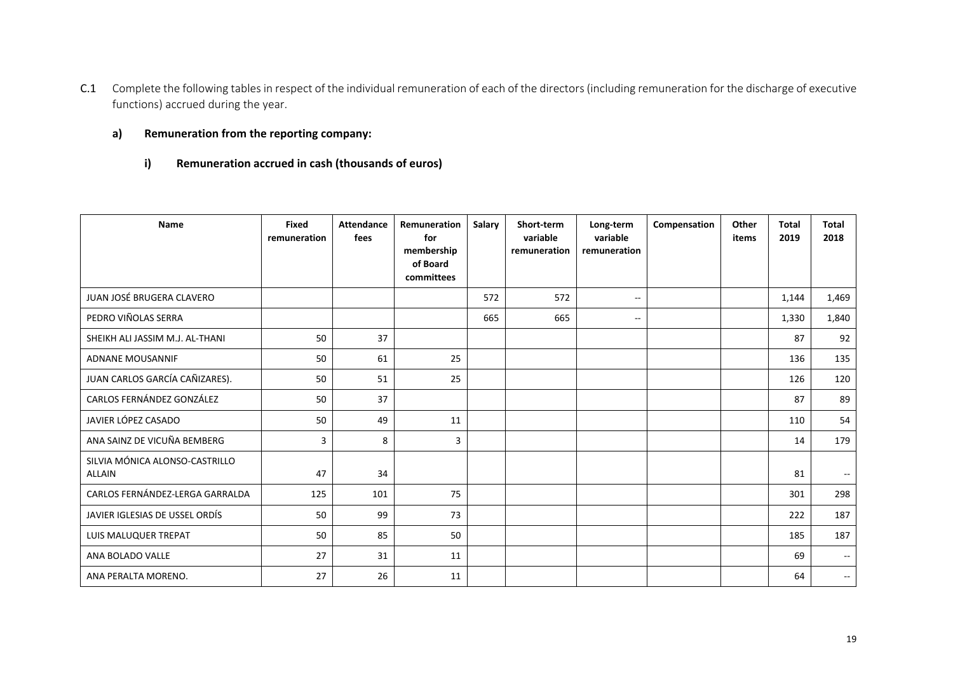C.1 Complete the following tables in respect of the individual remuneration of each of the directors (including remuneration for the discharge of executive functions) accrued during the year.

## **a) Remuneration from the reporting company:**

**i) Remuneration accrued in cash (thousands of euros)** 

| Name                                            | <b>Fixed</b><br>remuneration | <b>Attendance</b><br>fees | Remuneration<br>for<br>membership<br>of Board<br>committees | Salary | Short-term<br>variable<br>remuneration | Long-term<br>variable<br>remuneration | Compensation | Other<br>items | <b>Total</b><br>2019 | <b>Total</b><br>2018     |
|-------------------------------------------------|------------------------------|---------------------------|-------------------------------------------------------------|--------|----------------------------------------|---------------------------------------|--------------|----------------|----------------------|--------------------------|
| JUAN JOSÉ BRUGERA CLAVERO                       |                              |                           |                                                             | 572    | 572                                    | $\sim$                                |              |                | 1,144                | 1,469                    |
| PEDRO VIÑOLAS SERRA                             |                              |                           |                                                             | 665    | 665                                    | $\mathbf{u}$                          |              |                | 1,330                | 1,840                    |
| SHEIKH ALI JASSIM M.J. AL-THANI                 | 50                           | 37                        |                                                             |        |                                        |                                       |              |                | 87                   | 92                       |
| <b>ADNANE MOUSANNIF</b>                         | 50                           | 61                        | 25                                                          |        |                                        |                                       |              |                | 136                  | 135                      |
| JUAN CARLOS GARCÍA CAÑIZARES).                  | 50                           | 51                        | 25                                                          |        |                                        |                                       |              |                | 126                  | 120                      |
| CARLOS FERNÁNDEZ GONZÁLEZ                       | 50                           | 37                        |                                                             |        |                                        |                                       |              |                | 87                   | 89                       |
| JAVIER LÓPEZ CASADO                             | 50                           | 49                        | 11                                                          |        |                                        |                                       |              |                | 110                  | 54                       |
| ANA SAINZ DE VICUÑA BEMBERG                     | 3                            | 8                         | 3                                                           |        |                                        |                                       |              |                | 14                   | 179                      |
| SILVIA MÓNICA ALONSO-CASTRILLO<br><b>ALLAIN</b> | 47                           | 34                        |                                                             |        |                                        |                                       |              |                | 81                   |                          |
| CARLOS FERNÁNDEZ-LERGA GARRALDA                 | 125                          | 101                       | 75                                                          |        |                                        |                                       |              |                | 301                  | 298                      |
| JAVIER IGLESIAS DE USSEL ORDÍS                  | 50                           | 99                        | 73                                                          |        |                                        |                                       |              |                | 222                  | 187                      |
| LUIS MALUQUER TREPAT                            | 50                           | 85                        | 50                                                          |        |                                        |                                       |              |                | 185                  | 187                      |
| ANA BOLADO VALLE                                | 27                           | 31                        | 11                                                          |        |                                        |                                       |              |                | 69                   | $\overline{\phantom{m}}$ |
| ANA PERALTA MORENO.                             | 27                           | 26                        | 11                                                          |        |                                        |                                       |              |                | 64                   | $\overline{\phantom{m}}$ |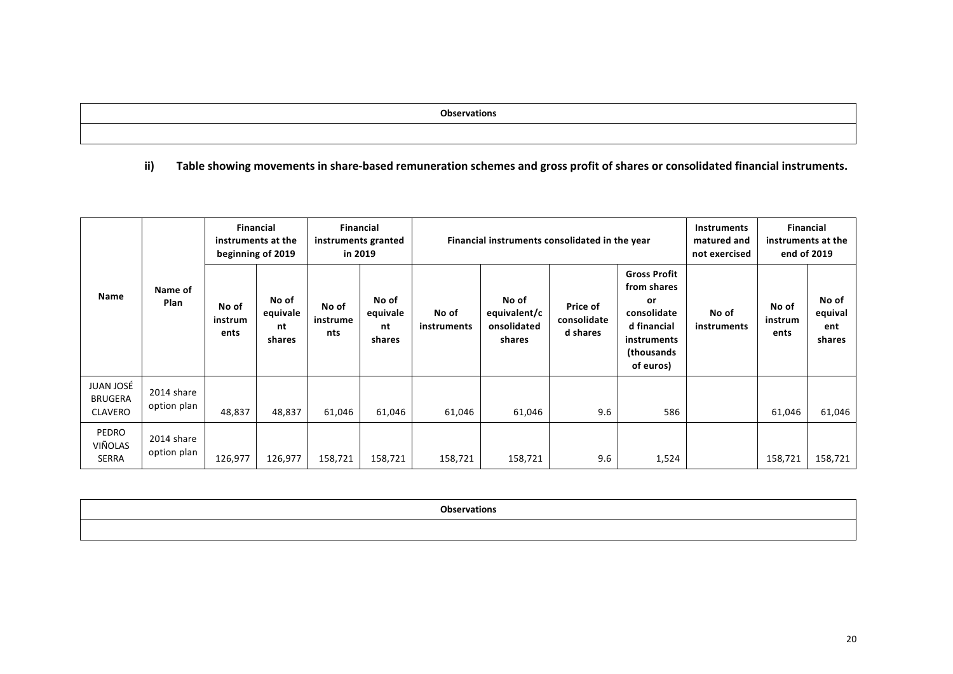**Observations** 

## **ii) Table showing movements in share‐based remuneration schemes and gross profit of shares or consolidated financial instruments.**

|                                                      |                           | instruments at the<br>beginning of 2019 | <b>Financial</b>                  | <b>Financial</b><br>instruments granted<br>in 2019 |                                   |                      | Financial instruments consolidated in the year | <b>Instruments</b><br>matured and<br>not exercised | instruments at the                                                                                               | <b>Financial</b><br>end of 2019 |                          |                                   |
|------------------------------------------------------|---------------------------|-----------------------------------------|-----------------------------------|----------------------------------------------------|-----------------------------------|----------------------|------------------------------------------------|----------------------------------------------------|------------------------------------------------------------------------------------------------------------------|---------------------------------|--------------------------|-----------------------------------|
| <b>Name</b>                                          | Name of<br>Plan           | No of<br>instrum<br>ents                | No of<br>equivale<br>nt<br>shares | No of<br>instrume<br>nts                           | No of<br>equivale<br>nt<br>shares | No of<br>instruments | No of<br>equivalent/c<br>onsolidated<br>shares | Price of<br>consolidate<br>d shares                | <b>Gross Profit</b><br>from shares<br>or<br>consolidate<br>d financial<br>instruments<br>(thousands<br>of euros) | No of<br>instruments            | No of<br>instrum<br>ents | No of<br>equival<br>ent<br>shares |
| <b>JUAN JOSÉ</b><br><b>BRUGERA</b><br><b>CLAVERO</b> | 2014 share<br>option plan | 48,837                                  | 48,837                            | 61,046                                             | 61,046                            | 61,046               | 61,046                                         | 9.6                                                | 586                                                                                                              |                                 | 61,046                   | 61,046                            |
| <b>PEDRO</b><br>VIÑOLAS<br>SERRA                     | 2014 share<br>option plan | 126,977                                 | 126,977                           | 158,721                                            | 158,721                           | 158,721              | 158,721                                        | 9.6                                                | 1,524                                                                                                            |                                 | 158,721                  | 158,721                           |

| <b>Ohcomia</b> |  |
|----------------|--|
|                |  |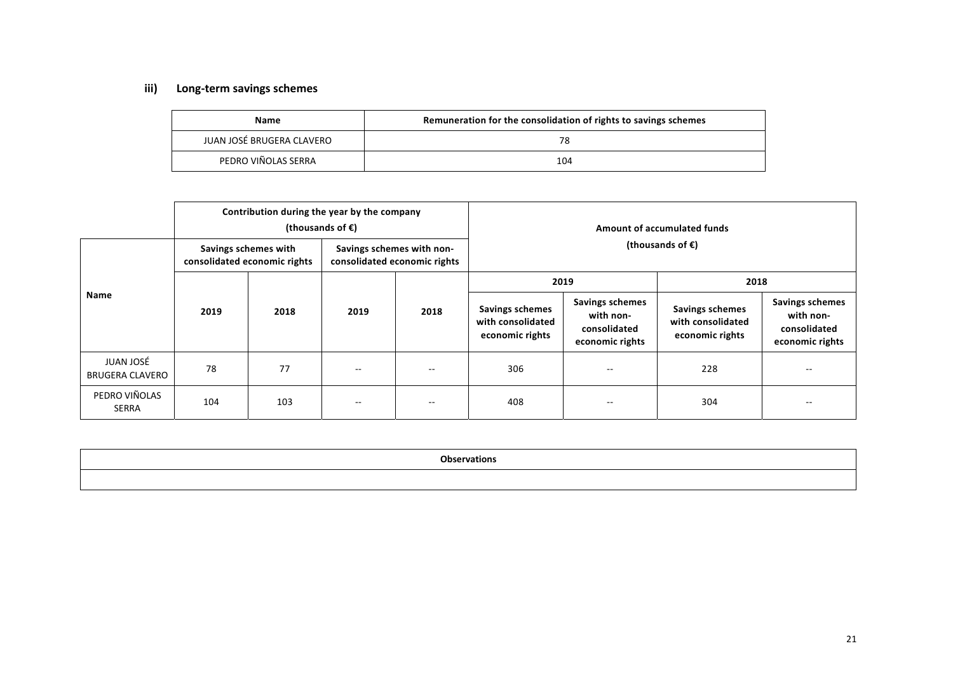# **iii) Long‐term savings schemes**

| <b>Name</b>               | Remuneration for the consolidation of rights to savings schemes |
|---------------------------|-----------------------------------------------------------------|
| JUAN JOSÉ BRUGERA CLAVERO |                                                                 |
| PEDRO VIÑOLAS SERRA       | 104                                                             |

|                                     |      | Contribution during the year by the company<br>(thousands of $\epsilon$ ) |                           |                              | <b>Amount of accumulated funds</b><br>(thousands of $\epsilon$ ) |                                                                 |                                                                |                                                                        |
|-------------------------------------|------|---------------------------------------------------------------------------|---------------------------|------------------------------|------------------------------------------------------------------|-----------------------------------------------------------------|----------------------------------------------------------------|------------------------------------------------------------------------|
|                                     |      | Savings schemes with<br>consolidated economic rights                      | Savings schemes with non- | consolidated economic rights |                                                                  |                                                                 |                                                                |                                                                        |
|                                     |      |                                                                           |                           |                              | 2019                                                             |                                                                 | 2018                                                           |                                                                        |
| Name                                | 2019 | 2018                                                                      | 2019                      | 2018                         | <b>Savings schemes</b><br>with consolidated<br>economic rights   | Savings schemes<br>with non-<br>consolidated<br>economic rights | <b>Savings schemes</b><br>with consolidated<br>economic rights | <b>Savings schemes</b><br>with non-<br>consolidated<br>economic rights |
| JUAN JOSÉ<br><b>BRUGERA CLAVERO</b> | 78   | 77                                                                        | $- -$                     | $\sim$ $\sim$                | 306                                                              | $- -$                                                           | 228                                                            | $- -$                                                                  |
| PEDRO VIÑOLAS<br><b>SERRA</b>       | 104  | 103                                                                       | $- -$                     |                              | 408                                                              | $- -$                                                           | 304                                                            |                                                                        |

| <b>Observations</b> |
|---------------------|
|                     |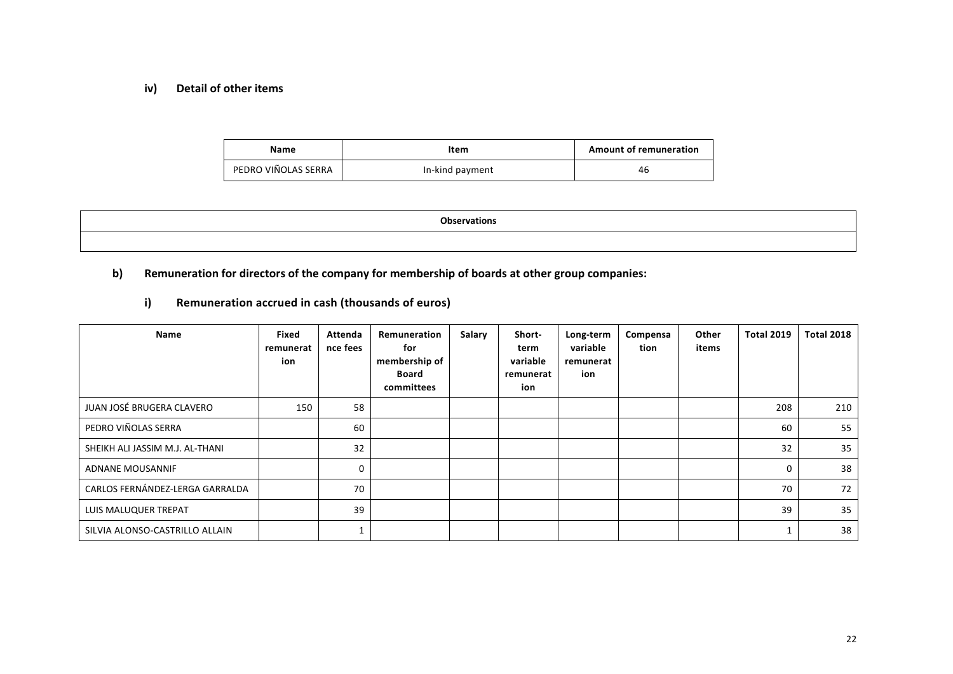#### **iv) Detail of other items**

| Name                | Item            | <b>Amount of remuneration</b> |
|---------------------|-----------------|-------------------------------|
| PEDRO VIÑOLAS SERRA | In-kind payment | 46                            |

| <b>Observations</b> |
|---------------------|
|                     |

## **b) Remuneration for directors of the company for membership of boards at other group companies:**

## **i) Remuneration accrued in cash (thousands of euros)**

| Name                            | Fixed<br>remunerat<br>ion | Attenda<br>nce fees | Remuneration<br>for<br>membership of<br>Board<br>committees | Salary | Short-<br>term<br>variable<br>remunerat<br>ion | Long-term<br>variable<br>remunerat<br>ion | Compensa<br>tion | Other<br>items | <b>Total 2019</b> | <b>Total 2018</b> |
|---------------------------------|---------------------------|---------------------|-------------------------------------------------------------|--------|------------------------------------------------|-------------------------------------------|------------------|----------------|-------------------|-------------------|
| JUAN JOSÉ BRUGERA CLAVERO       | 150                       | 58                  |                                                             |        |                                                |                                           |                  |                | 208               | 210               |
| PEDRO VIÑOLAS SERRA             |                           | 60                  |                                                             |        |                                                |                                           |                  |                | 60                | 55                |
| SHEIKH ALI JASSIM M.J. AL-THANI |                           | 32                  |                                                             |        |                                                |                                           |                  |                | 32                | 35                |
| ADNANE MOUSANNIF                |                           | 0                   |                                                             |        |                                                |                                           |                  |                | 0                 | 38                |
| CARLOS FERNÁNDEZ-LERGA GARRALDA |                           | 70                  |                                                             |        |                                                |                                           |                  |                | 70                | 72                |
| LUIS MALUQUER TREPAT            |                           | 39                  |                                                             |        |                                                |                                           |                  |                | 39                | 35                |
| SILVIA ALONSO-CASTRILLO ALLAIN  |                           |                     |                                                             |        |                                                |                                           |                  |                |                   | 38                |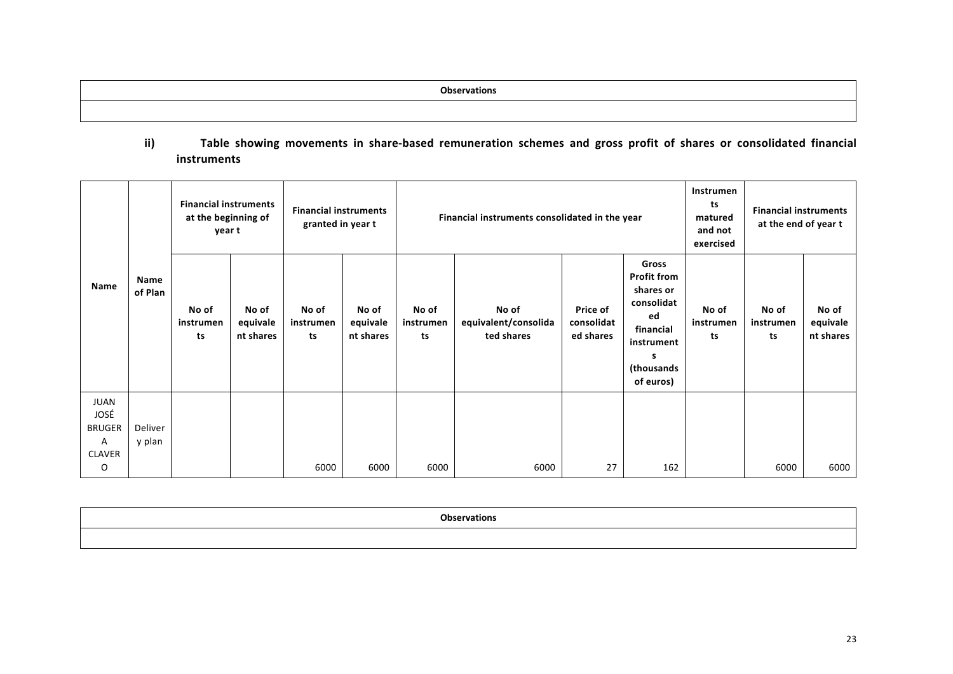# ii) Table showing movements in share-based remuneration schemes and gross profit of shares or consolidated financial **instruments**

|                    |                 |                          | <b>Financial instruments</b><br><b>Financial instruments</b><br>at the beginning of<br>Financial instruments consolidated in the year<br>granted in year t<br>year t |                          |                                |                          |                                             |                                     |                                                                                                                         | Instrumen<br>ts<br>matured<br>and not<br>exercised | <b>Financial instruments</b><br>at the end of year t |                                |
|--------------------|-----------------|--------------------------|----------------------------------------------------------------------------------------------------------------------------------------------------------------------|--------------------------|--------------------------------|--------------------------|---------------------------------------------|-------------------------------------|-------------------------------------------------------------------------------------------------------------------------|----------------------------------------------------|------------------------------------------------------|--------------------------------|
| Name               | Name<br>of Plan | No of<br>instrumen<br>ts | No of<br>equivale<br>nt shares                                                                                                                                       | No of<br>instrumen<br>ts | No of<br>equivale<br>nt shares | No of<br>instrumen<br>ts | No of<br>equivalent/consolida<br>ted shares | Price of<br>consolidat<br>ed shares | Gross<br><b>Profit from</b><br>shares or<br>consolidat<br>ed<br>financial<br>instrument<br>s<br>(thousands<br>of euros) | No of<br>instrumen<br>ts                           | No of<br>instrumen<br>ts                             | No of<br>equivale<br>nt shares |
| JUAN<br>JOSÉ       |                 |                          |                                                                                                                                                                      |                          |                                |                          |                                             |                                     |                                                                                                                         |                                                    |                                                      |                                |
| <b>BRUGER</b>      | Deliver         |                          |                                                                                                                                                                      |                          |                                |                          |                                             |                                     |                                                                                                                         |                                                    |                                                      |                                |
| Α<br><b>CLAVER</b> | y plan          |                          |                                                                                                                                                                      |                          |                                |                          |                                             |                                     |                                                                                                                         |                                                    |                                                      |                                |
| O                  |                 |                          |                                                                                                                                                                      | 6000                     | 6000                           | 6000                     | 6000                                        | 27                                  | 162                                                                                                                     |                                                    | 6000                                                 | 6000                           |

| <b>Observations</b> |
|---------------------|
|                     |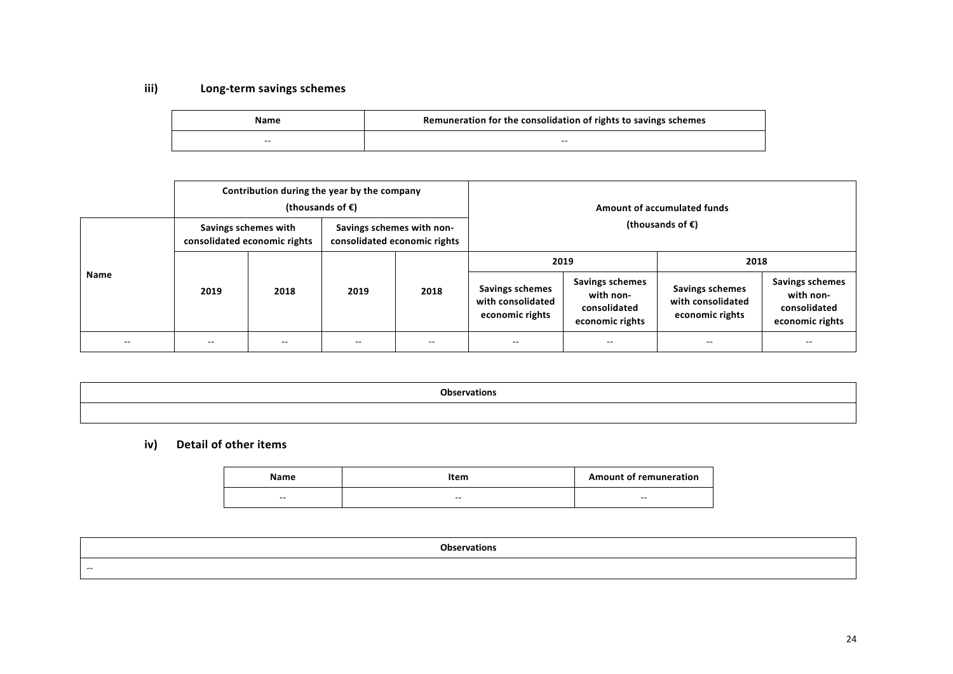# **iii) Long‐term savings schemes**

| Name  | Remuneration for the consolidation of rights to savings schemes |
|-------|-----------------------------------------------------------------|
| $- -$ | $- -$                                                           |

|             |               | Contribution during the year by the company<br>(thousands of $\epsilon$ ) |                                                           |                            | Amount of accumulated funds                             |                                                                 |                                                                |                                                                        |  |
|-------------|---------------|---------------------------------------------------------------------------|-----------------------------------------------------------|----------------------------|---------------------------------------------------------|-----------------------------------------------------------------|----------------------------------------------------------------|------------------------------------------------------------------------|--|
|             |               | Savings schemes with<br>consolidated economic rights                      | Savings schemes with non-<br>consolidated economic rights | (thousands of $\epsilon$ ) |                                                         |                                                                 |                                                                |                                                                        |  |
|             |               |                                                                           | 2019                                                      | 2018                       | 2019                                                    |                                                                 | 2018                                                           |                                                                        |  |
| <b>Name</b> | 2019          | 2018                                                                      |                                                           |                            | Savings schemes<br>with consolidated<br>economic rights | Savings schemes<br>with non-<br>consolidated<br>economic rights | <b>Savings schemes</b><br>with consolidated<br>economic rights | <b>Savings schemes</b><br>with non-<br>consolidated<br>economic rights |  |
| $- -$       | $\sim$ $\sim$ | $\sim$ $\sim$                                                             | $- -$                                                     | $- -$                      | $\sim$ $\sim$                                           | $- -$                                                           | $- -$                                                          | $\overline{\phantom{a}}$                                               |  |

| <b>Observations</b> |  |
|---------------------|--|
|                     |  |

# **iv) Detail of other items**

| Name                     | Item  | <b>Amount of remuneration</b> |
|--------------------------|-------|-------------------------------|
| $\overline{\phantom{m}}$ | $- -$ | $- -$                         |

|     | Observat.<br>tions |
|-----|--------------------|
| $-$ |                    |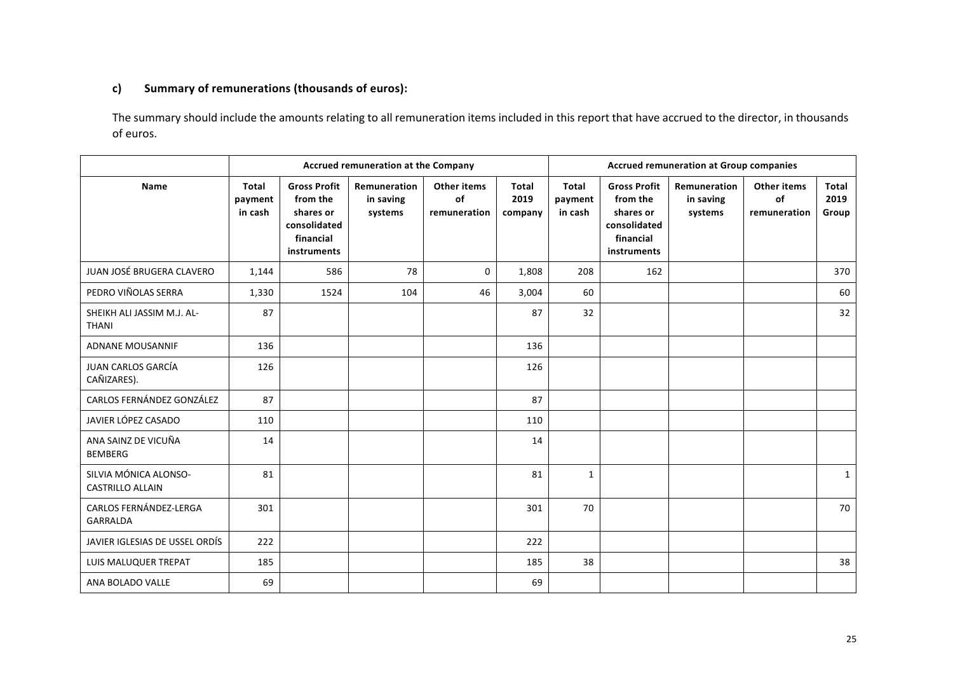# **c) Summary of remunerations (thousands of euros):**

The summary should include the amounts relating to all remuneration items included in this report that have accrued to the director, in thousands of euros.

|                                                  | Accrued remuneration at the Company |                                                                                          |                                      |                                          |                                 |                                    | <b>Accrued remuneration at Group companies</b>                                           |                                      |                                          |                               |
|--------------------------------------------------|-------------------------------------|------------------------------------------------------------------------------------------|--------------------------------------|------------------------------------------|---------------------------------|------------------------------------|------------------------------------------------------------------------------------------|--------------------------------------|------------------------------------------|-------------------------------|
| <b>Name</b>                                      | <b>Total</b><br>payment<br>in cash  | <b>Gross Profit</b><br>from the<br>shares or<br>consolidated<br>financial<br>instruments | Remuneration<br>in saving<br>systems | <b>Other items</b><br>of<br>remuneration | <b>Total</b><br>2019<br>company | <b>Total</b><br>payment<br>in cash | <b>Gross Profit</b><br>from the<br>shares or<br>consolidated<br>financial<br>instruments | Remuneration<br>in saving<br>systems | <b>Other items</b><br>of<br>remuneration | <b>Total</b><br>2019<br>Group |
| JUAN JOSÉ BRUGERA CLAVERO                        | 1,144                               | 586                                                                                      | 78                                   | $\mathbf 0$                              | 1,808                           | 208                                | 162                                                                                      |                                      |                                          | 370                           |
| PEDRO VIÑOLAS SERRA                              | 1,330                               | 1524                                                                                     | 104                                  | 46                                       | 3,004                           | 60                                 |                                                                                          |                                      |                                          | 60                            |
| SHEIKH ALI JASSIM M.J. AL-<br><b>THANI</b>       | 87                                  |                                                                                          |                                      |                                          | 87                              | 32                                 |                                                                                          |                                      |                                          | 32                            |
| <b>ADNANE MOUSANNIF</b>                          | 136                                 |                                                                                          |                                      |                                          | 136                             |                                    |                                                                                          |                                      |                                          |                               |
| JUAN CARLOS GARCÍA<br>CAÑIZARES).                | 126                                 |                                                                                          |                                      |                                          | 126                             |                                    |                                                                                          |                                      |                                          |                               |
| CARLOS FERNÁNDEZ GONZÁLEZ                        | 87                                  |                                                                                          |                                      |                                          | 87                              |                                    |                                                                                          |                                      |                                          |                               |
| JAVIER LÓPEZ CASADO                              | 110                                 |                                                                                          |                                      |                                          | 110                             |                                    |                                                                                          |                                      |                                          |                               |
| ANA SAINZ DE VICUÑA<br><b>BEMBERG</b>            | 14                                  |                                                                                          |                                      |                                          | 14                              |                                    |                                                                                          |                                      |                                          |                               |
| SILVIA MÓNICA ALONSO-<br><b>CASTRILLO ALLAIN</b> | 81                                  |                                                                                          |                                      |                                          | 81                              | $\mathbf{1}$                       |                                                                                          |                                      |                                          | $\mathbf{1}$                  |
| CARLOS FERNÁNDEZ-LERGA<br><b>GARRALDA</b>        | 301                                 |                                                                                          |                                      |                                          | 301                             | 70                                 |                                                                                          |                                      |                                          | 70                            |
| JAVIER IGLESIAS DE USSEL ORDÍS                   | 222                                 |                                                                                          |                                      |                                          | 222                             |                                    |                                                                                          |                                      |                                          |                               |
| LUIS MALUQUER TREPAT                             | 185                                 |                                                                                          |                                      |                                          | 185                             | 38                                 |                                                                                          |                                      |                                          | 38                            |
| ANA BOLADO VALLE                                 | 69                                  |                                                                                          |                                      |                                          | 69                              |                                    |                                                                                          |                                      |                                          |                               |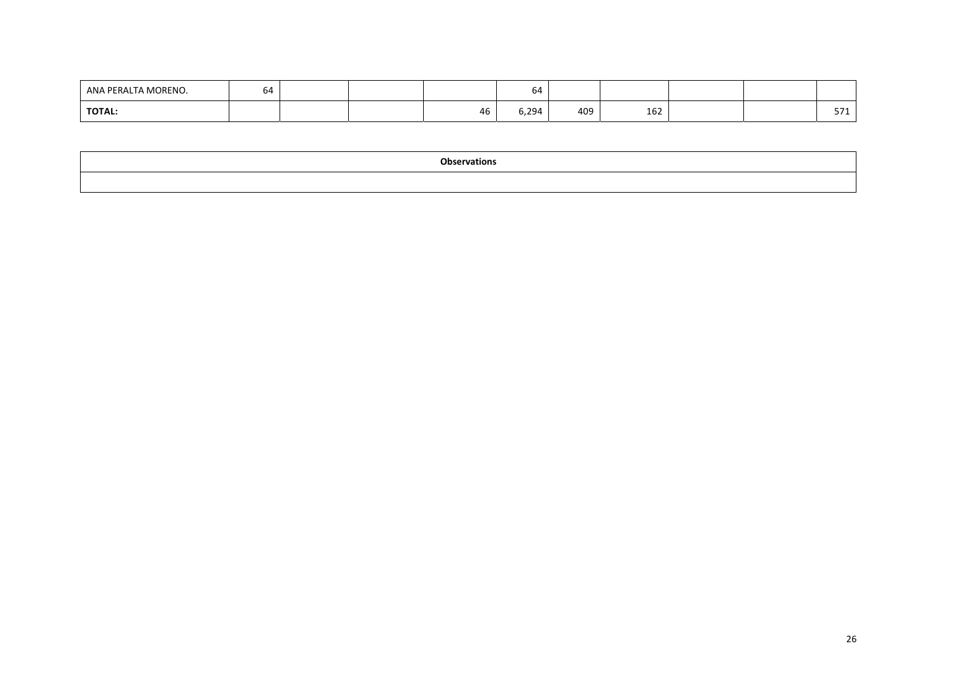| ANA PERALTA MORENO. | $^{\prime}$ A<br>b4 |  |    | 64    |     |                        |  |            |
|---------------------|---------------------|--|----|-------|-----|------------------------|--|------------|
| <b>TOTAL:</b>       |                     |  | 46 | 0,294 | 409 | 10 <sup>2</sup><br>162 |  | $- -$<br>- |

| <b>Observations</b> |  |
|---------------------|--|
|                     |  |